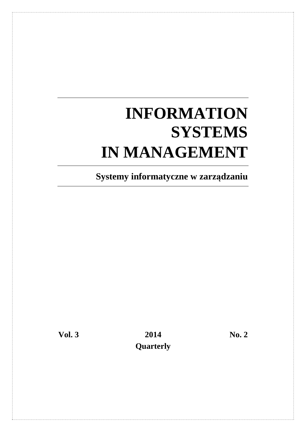# **INFORMATION SYSTEMS IN MANAGEMENT**

**Systemy informatyczne w zarządzaniu** 

Vol. 3 2014 No. 2  **Quarterly**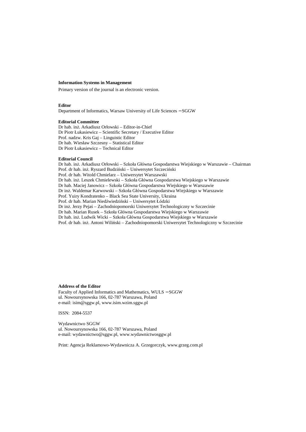#### **Information Systems in Management**

Primary version of the journal is an electronic version.

#### **Editor**

Department of Informatics, Warsaw University of Life Sciences − SGGW

#### **Editorial Committee**

Dr hab. inż. Arkadiusz Orłowski – Editor-in-Chief Dr Piotr Łukasiewicz – Scientific Secretary / Executive Editor Prof. nadzw. Kris Gaj – Linguistic Editor Dr hab. Wiesław Szczesny – Statistical Editor Dr Piotr Łukasiewicz – Technical Editor

#### **Editorial Council**

Dr hab. inż. Arkadiusz Orłowski – Szkoła Główna Gospodarstwa Wiejskiego w Warszawie – Chairman Prof. dr hab. inż. Ryszard Budziński – Uniwersytet Szczeciński Prof. dr hab. Witold Chmielarz – Uniwersytet Warszawski Dr hab. inż. Leszek Chmielewski – Szkoła Główna Gospodarstwa Wiejskiego w Warszawie Dr hab. Maciej Janowicz – Szkoła Główna Gospodarstwa Wiejskiego w Warszawie Dr inż. Waldemar Karwowski – Szkoła Główna Gospodarstwa Wiejskiego w Warszawie Prof. Yuiry Kondratenko – Black Sea State University, Ukraina Prof. dr hab. Marian Niedźwiedziński – Uniwersytet Łódzki Dr inż. Jerzy Pejaś – Zachodniopomorski Uniwersytet Technologiczny w Szczecinie Dr hab. Marian Rusek – Szkoła Główna Gospodarstwa Wiejskiego w Warszawie Dr hab. inż. Ludwik Wicki – Szkoła Główna Gospodarstwa Wiejskiego w Warszawie Prof. dr hab. inż. Antoni Wiliński – Zachodniopomorski Uniwersytet Technologiczny w Szczecinie

#### **Address of the Editor**

Faculty of Applied Informatics and Mathematics, WULS − SGGW ul. Nowoursynowska 166, 02-787 Warszawa, Poland e-mail: isim@sggw.pl, www.isim.wzim.sggw.pl

ISSN: 2084-5537

Wydawnictwo SGGW ul. Nowoursynowska 166, 02-787 Warszawa, Poland e-mail: wydawnictwo@sggw.pl, www.wydawnictwosggw.pl

Print: Agencja Reklamowo-Wydawnicza A. Grzegorczyk, www.grzeg.com.pl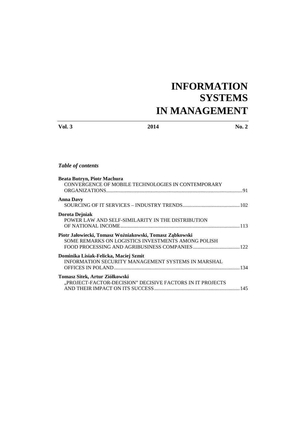# **INFORMATION SYSTEMS IN MANAGEMENT**

**Vol. 3** 2014 **No. 2** 

# *Table of contents*

| <b>Beata Butryn, Piotr Machura</b>                        |  |
|-----------------------------------------------------------|--|
| CONVERGENCE OF MOBILE TECHNOLOGIES IN CONTEMPORARY        |  |
|                                                           |  |
| <b>Anna Davy</b>                                          |  |
|                                                           |  |
| Dorota Dejniak                                            |  |
| POWER LAW AND SELF-SIMILARITY IN THE DISTRIBUTION         |  |
|                                                           |  |
| Piotr Jałowiecki, Tomasz Woźniakowski, Tomasz Ząbkowski   |  |
| SOME REMARKS ON LOGISTICS INVESTMENTS AMONG POLISH        |  |
|                                                           |  |
| Dominika Lisiak-Felicka, Maciej Szmit                     |  |
| <b>INFORMATION SECURITY MANAGEMENT SYSTEMS IN MARSHAL</b> |  |
|                                                           |  |
| Tomasz Sitek, Artur Ziółkowski                            |  |
| "PROJECT-FACTOR-DECISION" DECISIVE FACTORS IN IT PROJECTS |  |
|                                                           |  |
|                                                           |  |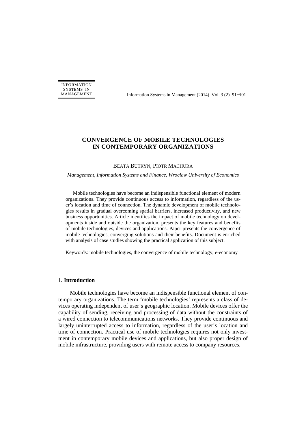INFORMATION SYSTEMS IN

MANAGEMENT Information Systems in Management (2014) Vol. 3 (2) 91−101

# **CONVERGENCE OF MOBILE TECHNOLOGIES IN CONTEMPORARY ORGANIZATIONS**

#### BEATA BUTRYN, PIOTR MACHURA

*Management, Information Systems and Finance, Wrocław University of Economics* 

Mobile technologies have become an indispensible functional element of modern organizations. They provide continuous access to information, regardless of the user's location and time of connection. The dynamic development of mobile technologies results in gradual overcoming spatial barriers, increased productivity, and new business opportunities. Article identifies the impact of mobile technology on developments inside and outside the organization, presents the key features and benefits of mobile technologies, devices and applications. Paper presents the convergence of mobile technologies, converging solutions and their benefits. Document is enriched with analysis of case studies showing the practical application of this subject.

Keywords: mobile technologies, the convergence of mobile technology, e-economy

#### **1. Introduction**

Mobile technologies have become an indispensible functional element of contemporary organizations. The term 'mobile technologies' represents a class of devices operating independent of user's geographic location. Mobile devices offer the capability of sending, receiving and processing of data without the constraints of a wired connection to telecommunications networks. They provide continuous and largely uninterrupted access to information, regardless of the user's location and time of connection. Practical use of mobile technologies requires not only investment in contemporary mobile devices and applications, but also proper design of mobile infrastructure, providing users with remote access to company resources.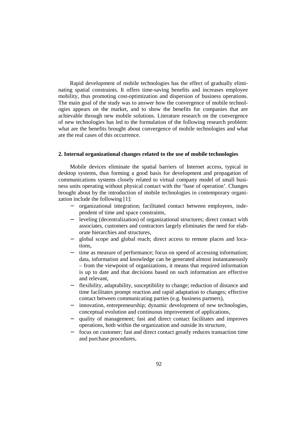Rapid development of mobile technologies has the effect of gradually eliminating spatial constraints. It offers time-saving benefits and increases employee mobility, thus promoting cost-optimization and dispersion of business operations. The main goal of the study was to answer how the convergence of mobile technologies appears on the market, and to show the benefits for companies that are achievable through new mobile solutions. Literature research on the convergence of new technologies has led to the formulation of the following research problem: what are the benefits brought about convergence of mobile technologies and what are the real cases of this occurrence.

#### **2. Internal organizational changes related to the use of mobile technologies**

Mobile devices eliminate the spatial barriers of Internet access, typical in desktop systems, thus forming a good basis for development and propagation of communications systems closely related to virtual company model of small business units operating without physical contact with the 'base of operation'. Changes brought about by the introduction of mobile technologies in contemporary organization include the following [1]:

- − organizational integration; facilitated contact between employees, independent of time and space constraints,
- − leveling (decentralization) of organizational structures; direct contact with associates, customers and contractors largely eliminates the need for elaborate hierarchies and structures,
- − global scope and global reach; direct access to remote places and locations,
- time as measure of performance; focus on speed of accessing information; data, information and knowledge can be generated almost instantaneously – from the viewpoint of organizations, it means that required information is up to date and that decisions based on such information are effective and relevant,
- flexibility, adaptability, susceptibility to change; reduction of distance and time facilitates prompt reaction and rapid adaptation to changes; effective contact between communicating parties (e.g. business partners),
- innovation, entrepreneurship; dynamic development of new technologies, conceptual evolution and continuous improvement of applications,
- − quality of management; fast and direct contact facilitates and improves operations, both within the organization and outside its structure,
- focus on customer; fast and direct contact greatly reduces transaction time and purchase procedures,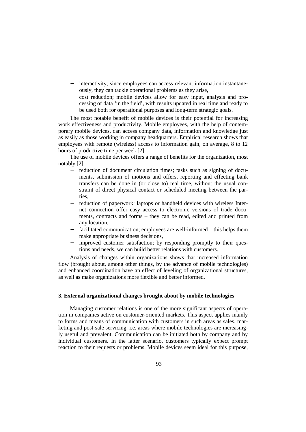- − interactivity; since employees can access relevant information instantaneously, they can tackle operational problems as they arise,
- − cost reduction; mobile devices allow for easy input, analysis and processing of data 'in the field', with results updated in real time and ready to be used both for operational purposes and long-term strategic goals.

The most notable benefit of mobile devices is their potential for increasing work effectiveness and productivity. Mobile employees, with the help of contemporary mobile devices, can access company data, information and knowledge just as easily as those working in company headquarters. Empirical research shows that employees with remote (wireless) access to information gain, on average, 8 to 12 hours of productive time per week [2].

The use of mobile devices offers a range of benefits for the organization, most notably [2]:

- − reduction of document circulation times; tasks such as signing of documents, submission of motions and offers, reporting and effecting bank transfers can be done in (or close to) real time, without the usual constraint of direct physical contact or scheduled meeting between the parties,
- reduction of paperwork; laptops or handheld devices with wireless Internet connection offer easy access to electronic versions of trade documents, contracts and forms – they can be read, edited and printed from any location,
- facilitated communication; employees are well-informed this helps them make appropriate business decisions,
- − improved customer satisfaction; by responding promptly to their questions and needs, we can build better relations with customers.

Analysis of changes within organizations shows that increased information flow (brought about, among other things, by the advance of mobile technologies) and enhanced coordination have an effect of leveling of organizational structures, as well as make organizations more flexible and better informed.

# **3. External organizational changes brought about by mobile technologies**

Managing customer relations is one of the more significant aspects of operation in companies active on customer-oriented markets. This aspect applies mainly to forms and means of communication with customers in such areas as sales, marketing and post-sale servicing, i.e. areas where mobile technologies are increasingly useful and prevalent. Communication can be initiated both by company and by individual customers. In the latter scenario, customers typically expect prompt reaction to their requests or problems. Mobile devices seem ideal for this purpose,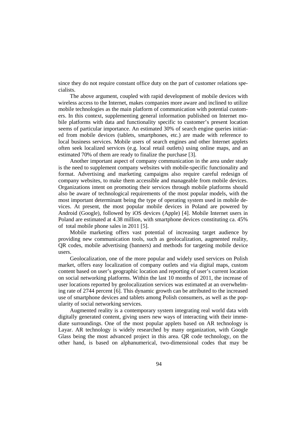since they do not require constant office duty on the part of customer relations specialists.

The above argument, coupled with rapid development of mobile devices with wireless access to the Internet, makes companies more aware and inclined to utilize mobile technologies as the main platform of communication with potential customers. In this context, supplementing general information published on Internet mobile platforms with data and functionality specific to customer's present location seems of particular importance. An estimated 30% of search engine queries initiated from mobile devices (tablets, smartphones, etc.) are made with reference to local business services. Mobile users of search engines and other Internet applets often seek localized services (e.g. local retail outlets) using online maps, and an estimated 70% of them are ready to finalize the purchase [3].

Another important aspect of company communication in the area under study is the need to supplement company websites with mobile-specific functionality and format. Advertising and marketing campaigns also require careful redesign of company websites, to make them accessible and manageable from mobile devices. Organizations intent on promoting their services through mobile platforms should also be aware of technological requirements of the most popular models, with the most important determinant being the type of operating system used in mobile devices. At present, the most popular mobile devices in Poland are powered by Android (Google), followed by iOS devices (Apple) [4]. Mobile Internet users in Poland are estimated at 4.38 million, with smartphone devices constituting ca. 45% of total mobile phone sales in 2011 [5].

Mobile marketing offers vast potential of increasing target audience by providing new communication tools, such as geolocalization, augmented reality, QR codes, mobile advertising (banners) and methods for targeting mobile device users.

Geolocalization, one of the more popular and widely used services on Polish market, offers easy localization of company outlets and via digital maps, custom content based on user's geographic location and reporting of user's current location on social networking platforms. Within the last 10 months of 2011, the increase of user locations reported by geolocalization services was estimated at an overwhelming rate of 2744 percent [6]. This dynamic growth can be attributed to the increased use of smartphone devices and tablets among Polish consumers, as well as the popularity of social networking services.

Augmented reality is a contemporary system integrating real world data with digitally generated content, giving users new ways of interacting with their immediate surroundings. One of the most popular applets based on AR technology is Layar. AR technology is widely researched by many organization, with Google Glass being the most advanced project in this area. QR code technology, on the other hand, is based on alphanumerical, two-dimensional codes that may be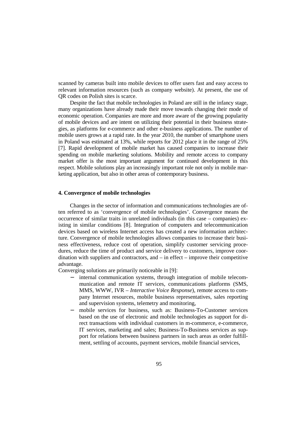scanned by cameras built into mobile devices to offer users fast and easy access to relevant information resources (such as company website). At present, the use of QR codes on Polish sites is scarce.

Despite the fact that mobile technologies in Poland are still in the infancy stage, many organizations have already made their move towards changing their mode of economic operation. Companies are more and more aware of the growing popularity of mobile devices and are intent on utilizing their potential in their business strategies, as platforms for e-commerce and other e-business applications. The number of mobile users grows at a rapid rate. In the year 2010, the number of smartphone users in Poland was estimated at 13%, while reports for 2012 place it in the range of 25% [7]. Rapid development of mobile market has caused companies to increase their spending on mobile marketing solutions. Mobility and remote access to company market offer is the most important argument for continued development in this respect. Mobile solutions play an increasingly important role not only in mobile marketing application, but also in other areas of contemporary business.

# **4. Convergence of mobile technologies**

Changes in the sector of information and communications technologies are often referred to as 'convergence of mobile technologies'. Convergence means the occurrence of similar traits in unrelated individuals (in this case – companies) existing in similar conditions [8]. Integration of computers and telecommunication devices based on wireless Internet access has created a new information architecture. Convergence of mobile technologies allows companies to increase their business effectiveness, reduce cost of operation, simplify customer servicing procedures, reduce the time of product and service delivery to customers, improve coordination with suppliers and contractors, and – in effect – improve their competitive advantage.

Converging solutions are primarily noticeable in [9]:

- − internal communication systems, through integration of mobile telecommunication and remote IT services, communications platforms (SMS, MMS, WWW, IVR – *Interactive Voice Response*), remote access to company Internet resources, mobile business representatives, sales reporting and supervision systems, telemetry and monitoring,
- mobile services for business, such as: Business-To-Customer services based on the use of electronic and mobile technologies as support for direct transactions with individual customers in m-commerce, e-commerce, IT services, marketing and sales; Business-To-Business services as support for relations between business partners in such areas as order fulfillment, settling of accounts, payment services, mobile financial services,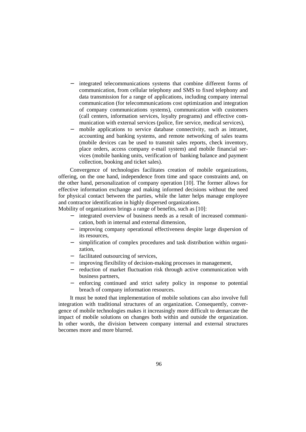- integrated telecommunications systems that combine different forms of communication, from cellular telephony and SMS to fixed telephony and data transmission for a range of applications, including company internal communication (for telecommunications cost optimization and integration of company communications systems), communication with customers (call centers, information services, loyalty programs) and effective communication with external services (police, fire service, medical services),
- mobile applications to service database connectivity, such as intranet, accounting and banking systems, and remote networking of sales teams (mobile devices can be used to transmit sales reports, check inventory, place orders, access company e-mail system) and mobile financial services (mobile banking units, verification of banking balance and payment collection, booking and ticket sales).

Convergence of technologies facilitates creation of mobile organizations, offering, on the one hand, independence from time and space constraints and, on the other hand, personalization of company operation [10]. The former allows for effective information exchange and making informed decisions without the need for physical contact between the parties, while the latter helps manage employee and contractor identification in highly dispersed organizations.

Mobility of organizations brings a range of benefits, such as [10]:

- − integrated overview of business needs as a result of increased communication, both in internal and external dimension,
- − improving company operational effectiveness despite large dispersion of its resources,
- − simplification of complex procedures and task distribution within organization,
- − facilitated outsourcing of services,
- − improving flexibility of decision-making processes in management,
- − reduction of market fluctuation risk through active communication with business partners,
- − enforcing continued and strict safety policy in response to potential breach of company information resources.

It must be noted that implementation of mobile solutions can also involve full integration with traditional structures of an organization. Consequently, convergence of mobile technologies makes it increasingly more difficult to demarcate the impact of mobile solutions on changes both within and outside the organization. In other words, the division between company internal and external structures becomes more and more blurred.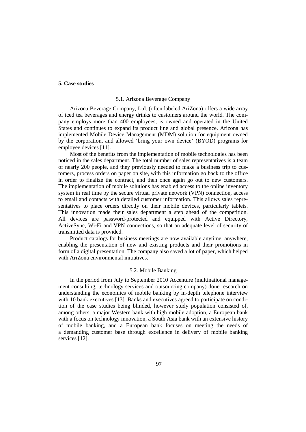#### **5. Case studies**

#### 5.1. Arizona Beverage Company

Arizona Beverage Company, Ltd. (often labeled AriZona) offers a wide array of iced tea beverages and energy drinks to customers around the world. The company employs more than 400 employees, is owned and operated in the United States and continues to expand its product line and global presence. Arizona has implemented Mobile Device Management (MDM) solution for equipment owned by the corporation, and allowed 'bring your own device' (BYOD) programs for employee devices [11].

Most of the benefits from the implementation of mobile technologies has been noticed in the sales department. The total number of sales representatives is a team of nearly 200 people, and they previously needed to make a business trip to customers, process orders on paper on site, with this information go back to the office in order to finalize the contract, and then once again go out to new customers. The implementation of mobile solutions has enabled access to the online inventory system in real time by the secure virtual private network (VPN) connection, access to email and contacts with detailed customer information. This allows sales representatives to place orders directly on their mobile devices, particularly tablets. This innovation made their sales department a step ahead of the competition. All devices are password-protected and equipped with Active Directory, ActiveSync, Wi-Fi and VPN connections, so that an adequate level of security of transmitted data is provided.

Product catalogs for business meetings are now available anytime, anywhere, enabling the presentation of new and existing products and their promotions in form of a digital presentation. The company also saved a lot of paper, which helped with AriZona environmental initiatives.

#### 5.2. Mobile Banking

In the period from July to September 2010 Accenture (multinational management consulting, technology services and outsourcing company) done research on understanding the economics of mobile banking by in-depth telephone interview with 10 bank executives [13]. Banks and executives agreed to participate on condition of the case studies being blinded, however study population consisted of, among others, a major Western bank with high mobile adoption, a European bank with a focus on technology innovation, a South Asia bank with an extensive history of mobile banking, and a European bank focuses on meeting the needs of a demanding customer base through excellence in delivery of mobile banking services [12].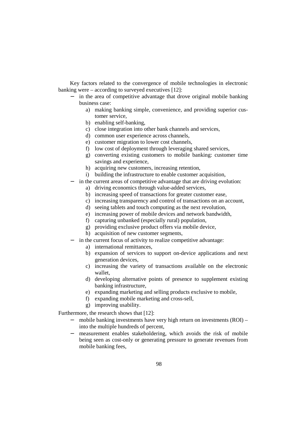Key factors related to the convergence of mobile technologies in electronic banking were – according to surveyed executives [12]:

- − in the area of competitive advantage that drove original mobile banking business case:
	- a) making banking simple, convenience, and providing superior customer service,
	- b) enabling self-banking,
	- c) close integration into other bank channels and services,
	- d) common user experience across channels,
	- e) customer migration to lower cost channels,
	- f) low cost of deployment through leveraging shared services,
	- g) converting existing customers to mobile banking: customer time savings and experience,
	- h) acquiring new customers, increasing retention,
	- i) building the infrastructure to enable customer acquisition,
- − in the current areas of competitive advantage that are driving evolution:
	- a) driving economics through value-added services,
	- b) increasing speed of transactions for greater customer ease,
	- c) increasing transparency and control of transactions on an account,
	- d) seeing tablets and touch computing as the next revolution,
	- e) increasing power of mobile devices and network bandwidth,
	- f) capturing unbanked (especially rural) population,
	- g) providing exclusive product offers via mobile device,
	- h) acquisition of new customer segments,
- − in the current focus of activity to realize competitive advantage:
	- a) international remittances,
	- b) expansion of services to support on-device applications and next generation devices,
	- c) increasing the variety of transactions available on the electronic wallet,
	- d) developing alternative points of presence to supplement existing banking infrastructure,
	- e) expanding marketing and selling products exclusive to mobile,
	- f) expanding mobile marketing and cross-sell,
	- g) improving usability.

Furthermore, the research shows that [12]:

- − mobile banking investments have very high return on investments (ROI) into the multiple hundreds of percent,
- measurement enables stakeholdering, which avoids the risk of mobile being seen as cost-only or generating pressure to generate revenues from mobile banking fees,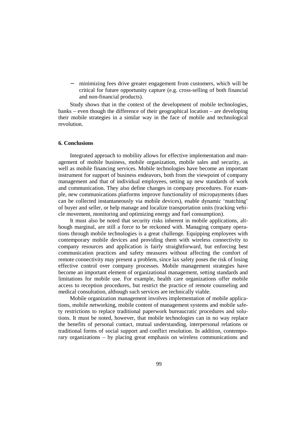minimizing fees drive greater engagement from customers, which will be critical for future opportunity capture (e.g. cross-selling of both financial and non-financial products).

Study shows that in the context of the development of mobile technologies, banks – even though the difference of their geographical location – are developing their mobile strategies in a similar way in the face of mobile and technological revolution.

# **6. Conclusions**

Integrated approach to mobility allows for effective implementation and management of mobile business, mobile organization, mobile sales and security, as well as mobile financing services. Mobile technologies have become an important instrument for support of business endeavors, both from the viewpoint of company management and that of individual employees, setting up new standards of work and communication. They also define changes in company procedures. For example, new communications platforms improve functionality of micropayments (dues can be collected instantaneously via mobile devices), enable dynamic 'matching' of buyer and seller, or help manage and localize transportation units (tracking vehicle movement, monitoring and optimizing energy and fuel consumption).

It must also be noted that security risks inherent in mobile applications, although marginal, are still a force to be reckoned with. Managing company operations through mobile technologies is a great challenge. Equipping employees with contemporary mobile devices and providing them with wireless connectivity to company resources and application is fairly straightforward, but enforcing best communication practices and safety measures without affecting the comfort of remote connectivity may present a problem, since lax safety poses the risk of losing effective control over company processes. Mobile management strategies have become an important element of organizational management, setting standards and limitations for mobile use. For example, health care organizations offer mobile access to reception procedures, but restrict the practice of remote counseling and medical consultation, although such services are technically viable.

Mobile organization management involves implementation of mobile applications, mobile networking, mobile content of management systems and mobile safety restrictions to replace traditional paperwork bureaucratic procedures and solutions. It must be noted, however, that mobile technologies can in no way replace the benefits of personal contact, mutual understanding, interpersonal relations or traditional forms of social support and conflict resolution. In addition, contemporary organizations – by placing great emphasis on wireless communications and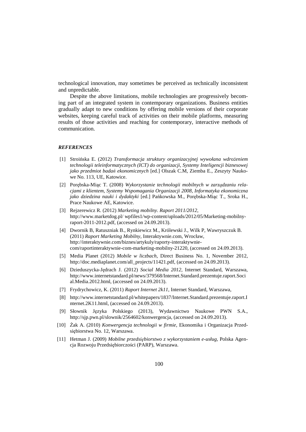technological innovation, may sometimes be perceived as technically inconsistent and unpredictable.

Despite the above limitations, mobile technologies are progressively becoming part of an integrated system in contemporary organizations. Business entities gradually adapt to new conditions by offering mobile versions of their corporate websites, keeping careful track of activities on their mobile platforms, measuring results of those activities and reaching for contemporary, interactive methods of communication.

#### *REFERENCES*

- [1] Stroińska E. (2012) *Transformacja struktury organizacyjnej wywołana wdrożeniem technologii teleinformatycznych (ICT) do organizacji, Systemy Inteligencji biznesowej jako przedmiot badań ekonomicznych* [ed.] Olszak C.M, Ziemba E., Zeszyty Naukowe No. 113, UE, Katowice.
- [2] Porębska-Miąc T. (2008) *Wykorzystanie technologii mobilnych w zarządzaniu relacjami z klientem, Systemy Wspomagania Organizacji 2008, Informatyka ekonomiczna jako dziedzina nauki i dydaktyki* [ed.] Pańkowska M., Porębska-Miąc T., Sroka H., Prace Naukowe AE, Katowice.
- [3] Rejzerewicz R. (2012) *Marketing mobilny. Raport 2011/2012*, http://www.marketdog.pl/ wpfiles1/wp-content/uploads/2012/05/Marketing-mobilnyraport-2011-2012.pdf, (accessed on 24.09.2013).
- [4] Dwornik B, Ratuszniak B., Rynkiewicz M., Królewski J., Wilk P, Wawryszczuk B. (2011) *Raport Marketing Mobilny*, Interaktywnie.com, Wrocław, http://interaktywnie.com/biznes/artykuly/raporty-interaktywniecom/raportinteraktywnie-com-marketing-mobilny-21220, (accessed on 24.09.2013).
- [5] Media Planet (2012) *Mobile w liczbach*, Direct Business No. 1, November 2012, http://doc.mediaplanet.com/all\_projects/11421.pdf, (accessed on 24.09.2013).
- [6] Dzieduszycka-Jędrach J. (2012) *Social Media 2012,* Internet Standard, Warszawa, http://www.internetstandard.pl/news/379568/Internet.Standard.prezentuje.raport.Soci al.Media.2012.html, (accessed on 24.09.2013).
- [7] Frydrychowicz, K. (2011) *Raport Internet 2k11*, Internet Standard, Warszawa,
- [8] http://www.internetstandard.pl/whitepapers/1837/Internet.Standard.prezentuje.raport.I nternet.2K11.html, (accessed on 24.09.2013).
- [9] Słownik Języka Polskiego (2013), Wydawnictwo Naukowe PWN S.A., http://sjp.pwn.pl/slownik/2564602/konwergencja, (accessed on 24.09.2013).
- [10] Żak A. (2010) *Konwergencja technologii w firmie*, Ekonomika i Organizacja Przedsiębiorstwa No. 12, Warszawa.
- [11] Hetman J. (2009) *Mobilne przedsiębiorstwo z wykorzystaniem e-usług*, Polska Agencja Rozwoju Przedsiębiorczości (PARP), Warszawa.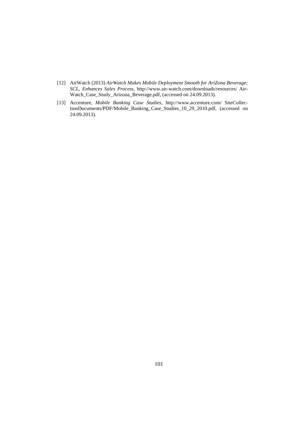- [12] AirWatch (2013) *AirWatch Makes Mobile Deployment Smooth for AriZona Beverage; SCL, Enhances Sales Process*, http://www.air-watch.com/downloads/resources/ Air-Watch\_Case\_Study\_Arizona\_Beverage.pdf, (accessed on 24.09.2013).
- [13] Accenture, *Mobile Banking Case Studies*, http://www.accenture.com/ SiteCollectionDocuments/PDF/Mobile\_Banking\_Case\_Studies\_10\_29\_2010.pdf, (accessed on 24.09.2013).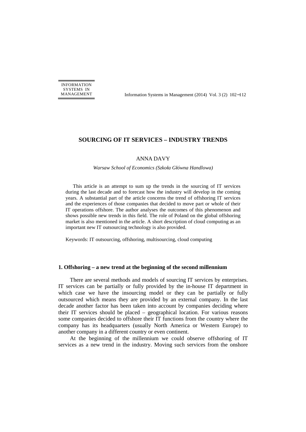INFORMATION SYSTEMS IN

MANAGEMENT Information Systems in Management (2014) Vol. 3 (2) 102−112

# **SOURCING OF IT SERVICES – INDUSTRY TRENDS**

#### ANNA DAVY

*Warsaw School of Economics (Szkoła Główna Handlowa)*

This article is an attempt to sum up the trends in the sourcing of IT services during the last decade and to forecast how the industry will develop in the coming years. A substantial part of the article concerns the trend of offshoring IT services and the experiences of those companies that decided to move part or whole of their IT operations offshore. The author analyses the outcomes of this phenomenon and shows possible new trends in this field. The role of Poland on the global offshoring market is also mentioned in the article. A short description of cloud computing as an important new IT outsourcing technology is also provided.

Keywords: IT outsourcing, offshoring, multisourcing, cloud computing

#### **1. Offshoring – a new trend at the beginning of the second millennium**

There are several methods and models of sourcing IT services by enterprises. IT services can be partially or fully provided by the in-house IT department in which case we have the insourcing model or they can be partially or fully outsourced which means they are provided by an external company. In the last decade another factor has been taken into account by companies deciding where their IT services should be placed – geographical location. For various reasons some companies decided to offshore their IT functions from the country where the company has its headquarters (usually North America or Western Europe) to another company in a different country or even continent.

At the beginning of the millennium we could observe offshoring of IT services as a new trend in the industry. Moving such services from the onshore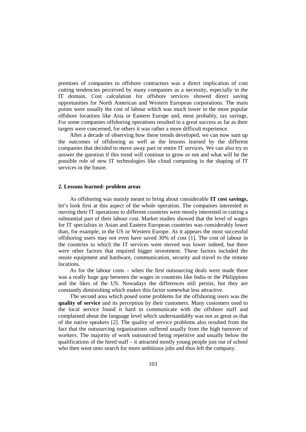premises of companies to offshore contractors was a direct implication of cost cutting tendencies perceived by many companies as a necessity, especially in the IT domain. Cost calculation for offshore services showed direct saving opportunities for North American and Western European corporations. The main points were usually the cost of labour which was much lower in the most popular offshore locations like Asia or Eastern Europe and, most probably, tax savings. For some companies offshoring operations resulted in a great success as far as their targets were concerned, for others it was rather a more difficult experience.

After a decade of observing how these trends developed, we can now sum up the outcomes of offshoring as well as the lessons learned by the different companies that decided to move away part or entire IT services. We can also try to answer the question if this trend will continue to grow or not and what will be the possible role of new IT technologies like cloud computing in the shaping of IT services in the future.

#### **2. Lessons learned- problem areas**

As offshoring was mainly meant to bring about considerable **IT cost savings,** let's look first at this aspect of the whole operation. The companies interested in moving their IT operations to different countries were mostly interested in cutting a substantial part of their labour cost. Market studies showed that the level of wages for IT specialists in Asian and Eastern European countries was considerably lower than, for example, in the US or Western Europe. As it appears the most successful offshoring users may not even have saved 30% of cost [1]. The cost of labour in the countries to which the IT services were moved was lower indeed, but there were other factors that required bigger investment. These factors included the onsite equipment and hardware, communication, security and travel to the remote locations.

As for the labour costs – when the first outsourcing deals were made there was a really huge gap between the wages in countries like India or the Philippines and the likes of the US. Nowadays the differences still persist, but they are constantly diminishing which makes this factor somewhat less attractive.

The second area which posed some problems for the offshoring users was the **quality of service** and its perception by their customers. Many customers used to the local service found it hard to communicate with the offshore staff and complained about the language level which understandably was not as great as that of the native speakers [2]. The quality of service problems also resulted from the fact that the outsourcing organizations suffered usually from the high turnover of workers. The majority of work outsourced being repetitive and usually below the qualifications of the hired staff – it attracted mostly young people just out of school who then went onto search for more ambitious jobs and thus left the company.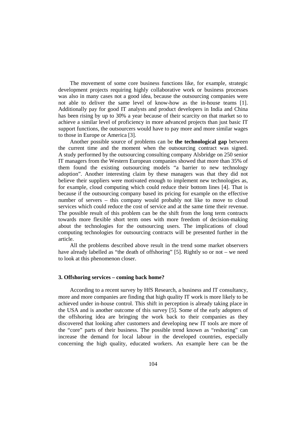The movement of some core business functions like, for example, strategic development projects requiring highly collaborative work or business processes was also in many cases not a good idea, because the outsourcing companies were not able to deliver the same level of know-how as the in-house teams [1]. Additionally pay for good IT analysts and product developers in India and China has been rising by up to 30% a year because of their scarcity on that market so to achieve a similar level of proficiency in more advanced projects than just basic IT support functions, the outsourcers would have to pay more and more similar wages to those in Europe or America [3].

Another possible source of problems can be **the technological gap** between the current time and the moment when the outsourcing contract was signed. A study performed by the outsourcing consulting company Alsbridge on 250 senior IT managers from the Western European companies showed that more than 35% of them found the existing outsourcing models "a barrier to new technology adoption". Another interesting claim by these managers was that they did not believe their suppliers were motivated enough to implement new technologies as, for example, cloud computing which could reduce their bottom lines [4]. That is because if the outsourcing company based its pricing for example on the effective number of servers – this company would probably not like to move to cloud services which could reduce the cost of service and at the same time their revenue. The possible result of this problem can be the shift from the long term contracts towards more flexible short term ones with more freedom of decision-making about the technologies for the outsourcing users. The implications of cloud computing technologies for outsourcing contracts will be presented further in the article.

All the problems described above result in the trend some market observers have already labelled as "the death of offshoring" [5]. Rightly so or not – we need to look at this phenomenon closer.

#### **3. Offshoring services – coming back home?**

According to a recent survey by HfS Research, a business and IT consultancy, more and more companies are finding that high quality IT work is more likely to be achieved under in-house control. This shift in perception is already taking place in the USA and is another outcome of this survey [5]. Some of the early adopters of the offshoring idea are bringing the work back to their companies as they discovered that looking after customers and developing new IT tools are more of the "core" parts of their business. The possible trend known as "reshoring" can increase the demand for local labour in the developed countries, especially concerning the high quality, educated workers. An example here can be the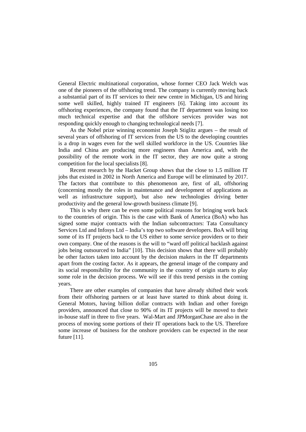General Electric multinational corporation, whose former CEO Jack Welch was one of the pioneers of the offshoring trend. The company is currently moving back a substantial part of its IT services to their new centre in Michigan, US and hiring some well skilled, highly trained IT engineers [6]. Taking into account its offshoring experiences, the company found that the IT department was losing too much technical expertise and that the offshore services provider was not responding quickly enough to changing technological needs [7].

As the Nobel prize winning economist Joseph Stiglitz argues – the result of several years of offshoring of IT services from the US to the developing countries is a drop in wages even for the well skilled workforce in the US. Countries like India and China are producing more engineers than America and, with the possibility of the remote work in the IT sector, they are now quite a strong competition for the local specialists [8].

Recent research by the Hacket Group shows that the close to 1.5 million IT jobs that existed in 2002 in North America and Europe will be eliminated by 2017. The factors that contribute to this phenomenon are, first of all, offshoring (concerning mostly the roles in maintenance and development of applications as well as infrastructure support), but also new technologies driving better productivity and the general low-growth business climate [9].

This is why there can be even some political reasons for bringing work back to the countries of origin. This is the case with Bank of America (BoA) who has signed some major contracts with the Indian subcontractors: Tata Consultancy Services Ltd and Infosys Ltd – India's top two software developers. BoA will bring some of its IT projects back to the US either to some service providers or to their own company. One of the reasons is the will to "ward off political backlash against jobs being outsourced to India" [10]. This decision shows that there will probably be other factors taken into account by the decision makers in the IT departments apart from the costing factor. As it appears, the general image of the company and its social responsibility for the community in the country of origin starts to play some role in the decision process. We will see if this trend persists in the coming years.

There are other examples of companies that have already shifted their work from their offshoring partners or at least have started to think about doing it. General Motors, having billion dollar contracts with Indian and other foreign providers, announced that close to 90% of its IT projects will be moved to their in-house staff in three to five years. Wal-Mart and JPMorganChase are also in the process of moving some portions of their IT operations back to the US. Therefore some increase of business for the onshore providers can be expected in the near future [11].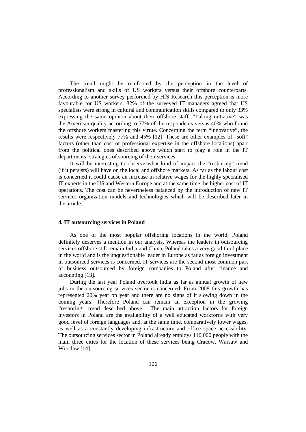The trend might be reinforced by the perception in the level of professionalism and skills of US workers versus their offshore counterparts. According to another survey performed by HfS Research this perception is more favourable for US workers. 82% of the surveyed IT managers agreed that US specialists were strong in cultural and communication skills compared to only 33% expressing the same opinion about their offshore staff. "Taking initiative" was the American quality according to 77% of the respondents versus 40% who found the offshore workers mastering this virtue. Concerning the term "innovative", the results were respectively 77% and 45% [12]. These are other examples of "soft" factors (other than cost or professional expertise in the offshore locations) apart from the political ones described above which start to play a role in the IT departments' strategies of sourcing of their services.

It will be interesting to observe what kind of impact the "reshoring" trend (if it persists) will have on the local and offshore markets. As far as the labour cost is concerned it could cause an increase in relative wages for the highly specialised IT experts in the US and Western Europe and at the same time the higher cost of IT operations. The cost can be nevertheless balanced by the introduction of new IT services organization models and technologies which will be described later in the article.

#### **4. IT outsourcing services in Poland**

As one of the most popular offshoring locations in the world, Poland definitely deserves a mention in our analysis. Whereas the leaders in outsourcing services offshore still remain India and China, Poland takes a very good third place in the world and is the unquestionable leader in Europe as far as foreign investment in outsourced services is concerned. IT services are the second most common part of business outsourced by foreign companies to Poland after finance and accounting [13].

During the last year Poland overtook India as far as annual growth of new jobs in the outsourcing services sector is concerned. From 2008 this growth has represented 20% year on year and there are no signs of it slowing down in the coming years. Therefore Poland can remain an exception in the growing "reshoring" trend described above. The main attraction factors for foreign investors in Poland are the availability of a well educated workforce with very good level of foreign languages and, at the same time, comparatively lower wages, as well as a constantly developing infrastructure and office space accessibility. The outsourcing services sector in Poland already employs 110,000 people with the main three cities for the location of these services being Cracow, Warsaw and Wroclaw [14].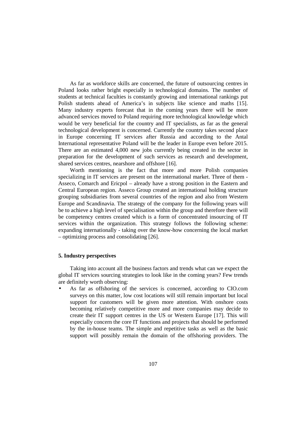As far as workforce skills are concerned, the future of outsourcing centres in Poland looks rather bright especially in technological domains. The number of students at technical faculties is constantly growing and international rankings put Polish students ahead of America's in subjects like science and maths [15]. Many industry experts forecast that in the coming years there will be more advanced services moved to Poland requiring more technological knowledge which would be very beneficial for the country and IT specialists, as far as the general technological development is concerned. Currently the country takes second place in Europe concerning IT services after Russia and according to the Antal International representative Poland will be the leader in Europe even before 2015. There are an estimated 4,000 new jobs currently being created in the sector in preparation for the development of such services as research and development, shared services centres, nearshore and offshore [16].

Worth mentioning is the fact that more and more Polish companies specializing in IT services are present on the international market. Three of them - Asseco, Comarch and Ericpol – already have a strong position in the Eastern and Central European region. Asseco Group created an international holding structure grouping subsidiaries from several countries of the region and also from Western Europe and Scandinavia. The strategy of the company for the following years will be to achieve a high level of specialisation within the group and therefore there will be competency centres created which is a form of concentrated insourcing of IT services within the organization. This strategy follows the following scheme: expanding internationally - taking over the know-how concerning the local market – optimizing process and consolidating [26].

# **5. Industry perspectives**

Taking into account all the business factors and trends what can we expect the global IT services sourcing strategies to look like in the coming years? Few trends are definitely worth observing:

• As far as offshoring of the services is concerned, according to CIO.com surveys on this matter, low cost locations will still remain important but local support for customers will be given more attention. With onshore costs becoming relatively competitive more and more companies may decide to create their IT support centres in the US or Western Europe [17]. This will especially concern the core IT functions and projects that should be performed by the in-house teams. The simple and repetitive tasks as well as the basic support will possibly remain the domain of the offshoring providers. The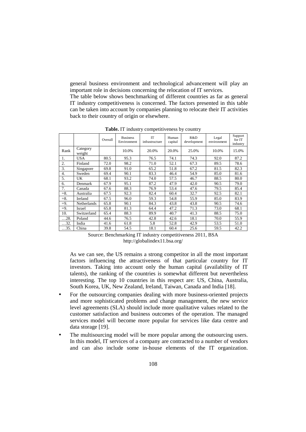general business environment and technological advancement will play an important role in decisions concerning the relocation of IT services.

The table below shows benchmarking of different countries as far as general IT industry competitiveness is concerned. The factors presented in this table can be taken into account by companies planning to relocate their IT activities back to their country of origin or elsewhere.

|                  |                    | Overall | <b>Business</b><br>Environment | <b>IT</b><br>infrastructure | Human<br>capital | R&D<br>development | Legal<br>environment | Support<br>for IT<br>industry |
|------------------|--------------------|---------|--------------------------------|-----------------------------|------------------|--------------------|----------------------|-------------------------------|
| Rank             | Category<br>weight |         | 10.0%                          | 20.0%                       | 20.0%            | 25.0%              | 10.0%                | 15.0%                         |
| 1.               | <b>USA</b>         | 80.5    | 95.3                           | 76.5                        | 74.1             | 74.3               | 92.0                 | 87.2                          |
| 2.               | Finland            | 72.0    | 98.2                           | 71.0                        | 52.1             | 67.3               | 89.5                 | 78.6                          |
| 3.               | Singapore          | 69.8    | 91.0                           | 65.2                        | 51.8             | 67.2               | 81.5                 | 82.3                          |
| $\overline{4}$ . | Sweden             | 69.4    | 90.1                           | 83.3                        | 46.4             | 54.9               | 85.0                 | 81.6                          |
| 5.               | UK                 | 68.1    | 93.2                           | 74.0                        | 57.5             | 46.7               | 88.5                 | 80.0                          |
| 6.               | Denmark            | 67.9    | 95.1                           | 87.2                        | 47.9             | 42.0               | 90.5                 | 79.0                          |
| 7.               | Canada             | 67.6    | 88.3                           | 76.9                        | 53.4             | 47.6               | 79.5                 | 85.4                          |
| $=8.$            | Australia          | 67.5    | 92.3                           | 82.4                        | 60.4             | 32.7               | 92.5                 | 82.1                          |
| $= 8.$           | Ireland            | 67.5    | 96.0                           | 59.3                        | 54.8             | 55.9               | 85.0                 | 83.9                          |
| $=9.$            | Netherlands        | 65.8    | 90.1                           | 84.3                        | 43.8             | 43.8               | 90.5                 | 74.6                          |
| $=9.$            | Israel             | 65.8    | 81.3                           | 64.4                        | 47.2             | 71.3               | 73.0                 | 68.1                          |
| 10.              | Switzerland        | 65.4    | 88.3                           | 89.9                        | 40.7             | 41.3               | 88.5                 | 75.0                          |
| $\dots$ 28.      | Poland             | 44.6    | 76.5                           | 42.8                        | 42.6             | 18.1               | 70.0                 | 55.9                          |
| 32.              | India              | 41.6    | 61.8                           | 5.8                         | 52.8             | 42.9               | 53.5                 | 51.0                          |
| 35.              | China              | 39.8    | 54.5                           | 18.1                        | 60.4             | 25.6               | 59.5                 | 42.2                          |

**Table.** IT industry competitiveness by country

Source: Benchmarking IT industry competitiveness 2011, BSA http://globalindex11.bsa.org/

As we can see, the US remains a strong competitor in all the most important factors influencing the attractiveness of that particular country for IT investors. Taking into account only the human capital (availability of IT talents), the ranking of the countries is somewhat different but nevertheless interesting. The top 10 countries in this respect are: US, China, Australia, South Korea, UK, New Zealand, Ireland, Taiwan, Canada and India [18].

- For the outsourcing companies dealing with more business-oriented projects and more sophisticated problems and change management, the new service level agreements (SLA) should include more qualitative values related to the customer satisfaction and business outcomes of the operation. The managed services model will become more popular for services like data centre and data storage [19].
- The multisourcing model will be more popular among the outsourcing users. In this model, IT services of a company are contracted to a number of vendors and can also include some in-house elements of the IT organization.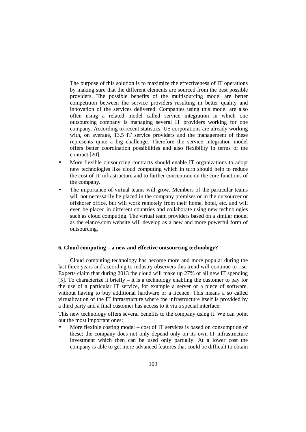The purpose of this solution is to maximize the effectiveness of IT operations by making sure that the different elements are sourced from the best possible providers. The possible benefits of the multisourcing model are better competition between the service providers resulting in better quality and innovation of the services delivered. Companies using this model are also often using a related model called service integration in which one outsourcing company is managing several IT providers working for one company. According to recent statistics, US corporations are already working with, on average, 13.5 IT service providers and the management of these represents quite a big challenge. Therefore the service integration model offers better coordination possibilities and also flexibility in terms of the contract [20].

- More flexible outsourcing contracts should enable IT organizations to adopt new technologies like cloud computing which in turn should help to reduce the cost of IT infrastructure and to further concentrate on the core functions of the company.
- The importance of virtual teams will grow. Members of the particular teams will not necessarily be placed in the company premises or in the outsourcer or offshorer office, but will work remotely from their home, hotel, etc. and will even be placed in different countries and collaborate using new technologies such as cloud computing. The virtual team providers based on a similar model as the elance.com website will develop as a new and more powerful form of outsourcing.

#### **6. Cloud computing – a new and effective outsourcing technology?**

Cloud computing technology has become more and more popular during the last three years and according to industry observers this trend will continue to rise. Experts claim that during 2013 the cloud will make up 27% of all new IT spending [5]. To characterize it briefly – it is a technology enabling the customer to pay for the use of a particular IT service, for example a server or a piece of software, without having to buy additional hardware or a licence. This means a so called virtualization of the IT infrastructure where the infrastructure itself is provided by a third party and a final customer has access to it via a special interface.

This new technology offers several benefits to the company using it. We can point out the most important ones:

More flexible costing model – cost of  $IT$  services is based on consumption of these; the company does not only depend only on its own IT infrastructure investment which then can be used only partially. At a lower cost the company is able to get more advanced features that could be difficult to obtain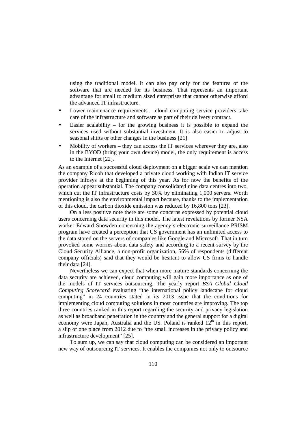using the traditional model. It can also pay only for the features of the software that are needed for its business. That represents an important advantage for small to medium sized enterprises that cannot otherwise afford the advanced IT infrastructure.

- Lower maintenance requirements cloud computing service providers take care of the infrastructure and software as part of their delivery contract.
- Easier scalability for the growing business it is possible to expand the services used without substantial investment. It is also easier to adjust to seasonal shifts or other changes in the business [21].
- Mobility of workers  $-$  they can access the IT services wherever they are, also in the BYOD (bring your own device) model, the only requirement is access to the Internet [22].

As an example of a successful cloud deployment on a bigger scale we can mention the company Ricoh that developed a private cloud working with Indian IT service provider Infosys at the beginning of this year. As for now the benefits of the operation appear substantial. The company consolidated nine data centres into two, which cut the IT infrastructure costs by 30% by eliminating 1,000 servers. Worth mentioning is also the environmental impact because, thanks to the implementation of this cloud, the carbon dioxide emission was reduced by 16,800 tons [23].

On a less positive note there are some concerns expressed by potential cloud users concerning data security in this model. The latest revelations by former NSA worker Edward Snowden concerning the agency's electronic surveillance PRISM program have created a perception that US government has an unlimited access to the data stored on the servers of companies like Google and Microsoft. That in turn provoked some worries about data safety and according to a recent survey by the Cloud Security Alliance, a non-profit organization, 56% of respondents (different company officials) said that they would be hesitant to allow US firms to handle their data [24].

Nevertheless we can expect that when more mature standards concerning the data security are achieved, cloud computing will gain more importance as one of the models of IT services outsourcing. The yearly report *BSA Global Cloud Computing Scorecard* evaluating "the international policy landscape for cloud computing" in 24 countries stated in its 2013 issue that the conditions for implementing cloud computing solutions in most countries are improving. The top three countries ranked in this report regarding the security and privacy legislation as well as broadband penetration in the country and the general support for a digital economy were Japan, Australia and the US. Poland is ranked  $12<sup>th</sup>$  in this report, a slip of one place from 2012 due to "the small increases in the privacy policy and infrastructure development" [25].

To sum up, we can say that cloud computing can be considered an important new way of outsourcing IT services. It enables the companies not only to outsource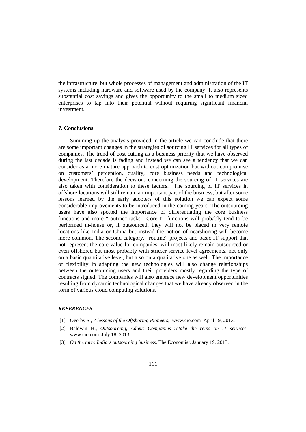the infrastructure, but whole processes of management and administration of the IT systems including hardware and software used by the company. It also represents substantial cost savings and gives the opportunity to the small to medium sized enterprises to tap into their potential without requiring significant financial investment.

#### **7. Conclusions**

Summing up the analysis provided in the article we can conclude that there are some important changes in the strategies of sourcing IT services for all types of companies. The trend of cost cutting as a business priority that we have observed during the last decade is fading and instead we can see a tendency that we can consider as a more mature approach to cost optimization but without compromise on customers' perception, quality, core business needs and technological development. Therefore the decisions concerning the sourcing of IT services are also taken with consideration to these factors. The sourcing of IT services in offshore locations will still remain an important part of the business, but after some lessons learned by the early adopters of this solution we can expect some considerable improvements to be introduced in the coming years. The outsourcing users have also spotted the importance of differentiating the core business functions and more "routine" tasks. Core IT functions will probably tend to be performed in-house or, if outsourced, they will not be placed in very remote locations like India or China but instead the notion of nearshoring will become more common. The second category, "routine" projects and basic IT support that not represent the core value for companies, will most likely remain outsourced or even offshored but most probably with stricter service level agreements, not only on a basic quantitative level, but also on a qualitative one as well. The importance of flexibility in adapting the new technologies will also change relationships between the outsourcing users and their providers mostly regarding the type of contracts signed. The companies will also embrace new development opportunities resulting from dynamic technological changes that we have already observed in the form of various cloud computing solutions.

#### *REFERENCES*

- [1] Overby S., *7 lessons of the Offshoring Pioneers*, www.cio.com April 19, 2013.
- [2] Baldwin H., *Outsourcing, Adieu: Companies retake the reins on IT services,* www.cio.com July 18, 2013.
- [3] *On the turn; India's outsourcing business*, The Economist, January 19, 2013.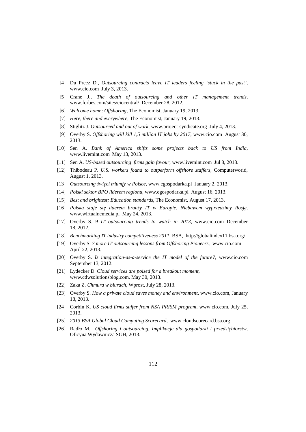- [4] Du Preez D., *Outsourcing contracts leave IT leaders feeling 'stuck in the past'*, www.cio.com July 3, 2013.
- [5] Crane J., *The death of outsourcing and other IT management trends*, www.forbes.com/sites/ciocentral/ December 28, 2012.
- [6] *Welcome home; Offshoring*, The Economist, January 19, 2013.
- [7] *Here, there and everywhere*, The Economist, January 19, 2013.
- [8] Stiglitz J. *Outsourced and out of work*, www.project-syndicate.org July 4, 2013.
- [9] Overby S. *Offshoring will kill 1,5 million IT jobs by 2017*, www.cio.com August 30, 2013.
- [10] Sen A. *Bank of America shifts some projects back to US from India*, www.livemint.com May 13, 2013.
- [11] Sen A. *US-based outsourcing firms gain favour*, www.livemint.com Jul 8, 2013.
- [12] Thibodeau P. *U.S. workers found to outperform offshore staffers*, Computerworld, August 1, 2013.
- [13] *Outsourcing święci triumfy w Polsce*, www.egospodarka.pl January 2, 2013.
- [14] *Polski sektor BPO liderem regionu*, www.egospodarka.pl August 16, 2013.
- [15] *Best and brightest; Education standards*, The Economist, August 17, 2013.
- [16] *Polska staje się liderem branży IT w Europie. Niebawem wyprzedzimy Rosję*, www.wirtualnemedia.pl May 24, 2013.
- [17] Overby S. *9 IT outsourcing trends to watch in 2013*, www.cio.com December 18, 2012.
- [18] *Benchmarking IT industry competitiveness 2011*, BSA, http://globalindex11.bsa.org/
- [19] Overby S. *7 more IT outsourcing lessons from Offshoring Pioneers*, www.cio.com April 22, 2013.
- [20] Overby S. *Is integration-as-a-service the IT model of the future?*, www.cio.com September 13, 2012.
- [21] Lydecker D. *Cloud services are poised for a breakout moment*, www.cdwsolutionsblog.com, May 30, 2013.
- [22] Zaka Z. *Chmura w biurach*, Wprost, July 28, 2013.
- [23] Overby S. *How a private cloud saves money and environment*, www.cio.com, January 18, 2013.
- [24] Corbin K. *US cloud firms suffer from NSA PRISM program*, www.cio.com, July 25, 2013.
- [25] *2013 BSA Global Cloud Computing Scorecard*, www.cloudscorecard.bsa.org
- [26] Radło M. *Offshoring i outsourcing. Implikacje dla gospodarki i przedsiębiorstw*, Oficyna Wydawnicza SGH, 2013.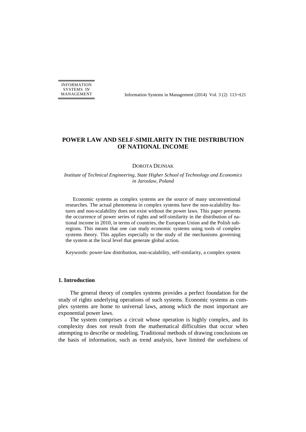INFORMATION SYSTEMS IN

MANAGEMENT Information Systems in Management (2014) Vol. 3 (2) 113−121

# **POWER LAW AND SELF-SIMILARITY IN THE DISTRIBUTION OF NATIONAL INCOME**

#### DOROTA DEJNIAK

#### *Institute of Technical Engineering, State Higher School of Technology and Economics in Jaroslaw, Poland*

Economic systems as complex systems are the source of many unconventional researches. The actual phenomena in complex systems have the non-scalability features and non-scalability does not exist without the power laws. This paper presents the occurrence of power series of rights and self-similarity in the distribution of national income in 2010, in terms of countries, the European Union and the Polish subregions. This means that one can study economic systems using tools of complex systems theory. This applies especially to the study of the mechanisms governing the system at the local level that generate global action.

Keywords: power-law distribution, non-scalability, self-similarity, a complex system

#### **1. Introduction**

The general theory of complex systems provides a perfect foundation for the study of rights underlying operations of such systems. Economic systems as complex systems are home to universal laws, among which the most important are exponential power laws.

The system comprises a circuit whose operation is highly complex, and its complexity does not result from the mathematical difficulties that occur when attempting to describe or modeling. Traditional methods of drawing conclusions on the basis of information, such as trend analysis, have limited the usefulness of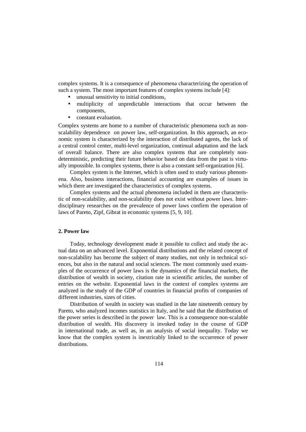complex systems. It is a consequence of phenomena characterizing the operation of such a system. The most important features of complex systems include [4]:

- unusual sensitivity to initial conditions,
- multiplicity of unpredictable interactions that occur between the components,
- constant evaluation.

Complex systems are home to a number of characteristic phenomena such as nonscalability dependence on power law, self-organization. In this approach, an economic system is characterized by the interaction of distributed agents, the lack of a central control center, multi-level organization, continual adaptation and the lack of overall balance. There are also complex systems that are completely nondeterministic, predicting their future behavior based on data from the past is virtually impossible. In complex systems, there is also a constant self-organization [6].

Complex system is the Internet, which is often used to study various phenomena. Also, business interactions, financial accounting are examples of issues in which there are investigated the characteristics of complex systems.

Complex systems and the actual phenomena included in them are characteristic of non-scalability, and non-scalability does not exist without power laws. Interdisciplinary researches on the prevalence of power laws confirm the operation of laws of Pareto, Zipf, Gibrat in economic systems [5, 9, 10].

#### **2. Power law**

Today, technology development made it possible to collect and study the actual data on an advanced level. Exponential distributions and the related concept of non-scalability has become the subject of many studies, not only in technical sciences, but also in the natural and social sciences. The most commonly used examples of the occurrence of power laws is the dynamics of the financial markets, the distribution of wealth in society, citation rate in scientific articles, the number of entries on the website. Exponential laws in the context of complex systems are analyzed in the study of the GDP of countries in financial profits of companies of different industries, sizes of cities.

Distribution of wealth in society was studied in the late nineteenth century by Pareto, who analyzed incomes statistics in Italy, and he said that the distribution of the power series is described in the power law. This is a consequence non-scalable distribution of wealth. His discovery is invoked today in the course of GDP in international trade, as well as, in an analysis of social inequality. Today we know that the complex system is inextricably linked to the occurrence of power distributions.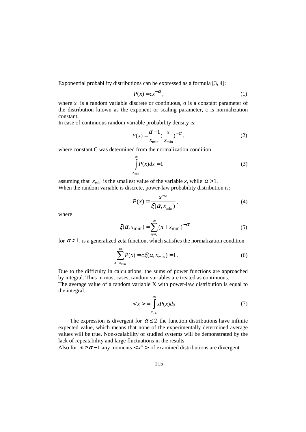Exponential probability distributions can be expressed as a formula [3, 4]:

$$
P(x) = cx^{-\alpha},\tag{1}
$$

where x is a random variable discrete or continuous,  $\alpha$  is a constant parameter of the distribution known as the exponent or scaling parameter, c is normalization constant.

In case of continuous random variable probability density is:

$$
P(x) = \frac{\alpha - 1}{x_{\min}} \left(\frac{x}{x_{\min}}\right)^{-\alpha},\tag{2}
$$

where constant C was determined from the normalization condition

$$
\int_{x_{\min}}^{\infty} P(x)dx = 1
$$
 (3)

assuming that  $x_{min}$  is the smallest value of the variable x, while  $\alpha > 1$ . When the random variable is discrete, power-law probability distribution is:

$$
P(x) = \frac{x^{-\alpha}}{\xi(\alpha, x_{\min})},
$$
\n(4)

where

$$
\xi(\alpha, x_{\min}) = \sum_{n=0}^{\infty} (n + x_{\min})^{-\alpha}
$$
 (5)

for  $\alpha > 1$ , is a generalized zeta function, which satisfies the normalization condition.

$$
\sum_{x=x_{\text{min}}}^{\infty} P(x) = c\xi(\alpha, x_{\text{min}}) = 1.
$$
 (6)

Due to the difficulty in calculations, the sums of power functions are approached by integral. Thus in most cases, random variables are treated as continuous. The average value of a random variable X with power-law distribution is equal to the integral.

$$
\langle x \rangle = \int_{x_{\min}}^{\infty} x P(x) dx \tag{7}
$$

The expression is divergent for  $\alpha \leq 2$  the function distributions have infinite expected value, which means that none of the experimentally determined average values will be true. Non-scalability of studied systems will be demonstrated by the lack of repeatability and large fluctuations in the results.

Also for  $m \ge \alpha - 1$  any moments  $\langle x^m \rangle$  of examined distributions are divergent.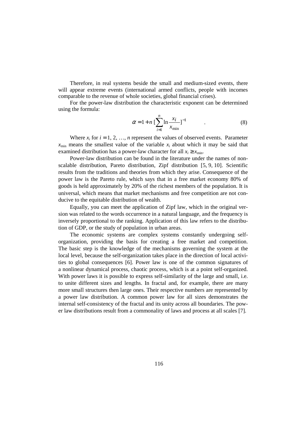Therefore, in real systems beside the small and medium-sized events, there will appear extreme events (international armed conflicts, people with incomes comparable to the revenue of whole societies, global financial crises).

For the power-law distribution the characteristic exponent can be determined using the formula:

$$
\alpha = 1 + n \left[ \sum_{i=1}^{n} \ln \frac{x_i}{x_{\min}} \right]^{-1} \tag{8}
$$

Where  $x_i$  for  $i = 1, 2, ..., n$  represent the values of observed events. Parameter  $x_{\text{min}}$  means the smallest value of the variable  $x_i$  about which it may be said that examined distribution has a power-law character for all  $x_i \geq x_{\min}$ .

Power-law distribution can be found in the literature under the names of nonscalable distribution, Pareto distribution, Zipf distribution [5, 9, 10]. Scientific results from the traditions and theories from which they arise. Consequence of the power law is the Pareto rule, which says that in a free market economy 80% of goods is held approximately by 20% of the richest members of the population. It is universal, which means that market mechanisms and free competition are not conducive to the equitable distribution of wealth.

Equally, you can meet the application of Zipf law, which in the original version was related to the words occurrence in a natural language, and the frequency is inversely proportional to the ranking. Application of this law refers to the distribution of GDP, or the study of population in urban areas.

The economic systems are complex systems constantly undergoing selforganization, providing the basis for creating a free market and competition. The basic step is the knowledge of the mechanisms governing the system at the local level, because the self-organization takes place in the direction of local activities to global consequences [6]. Power law is one of the common signatures of a nonlinear dynamical process, chaotic process, which is at a point self-organized. With power laws it is possible to express self-similarity of the large and small, i.e. to unite different sizes and lengths. In fractal and, for example, there are many more small structures then large ones. Their respective numbers are represented by a power law distribution. A common power law for all sizes demonstrates the internal self-consistency of the fractal and its unity across all boundaries. The power law distributions result from a commonality of laws and process at all scales [7].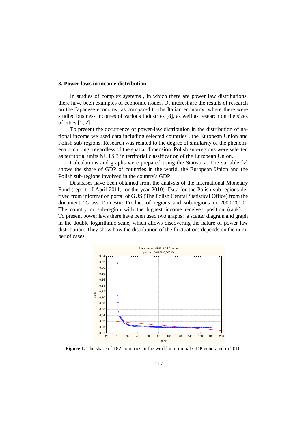#### **3. Power laws in income distribution**

In studies of complex systems , in which there are power law distributions, there have been examples of economic issues. Of interest are the results of research on the Japanese economy, as compared to the Italian economy, where there were studied business incomes of various industries [8], as well as research on the sizes of cities [1, 2].

To present the occurrence of power-law distribution in the distribution of national income we used data including selected countries , the European Union and Polish sub-regions. Research was related to the degree of similarity of the phenomena occurring, regardless of the spatial dimension. Polish sub-regions were selected as territorial units NUTS 3 in territorial classification of the European Union.

Calculations and graphs were prepared using the Statistica. The variable [v] shows the share of GDP of countries in the world, the European Union and the Polish sub-regions involved in the country's GDP.

Databases have been obtained from the analysis of the International Monetary Fund (report of April 2011, for the year 2010). Data for the Polish sub-regions derived from information portal of GUS (The Polish Central Statistical Office) from the document "Gross Domestic Product of regions and sub-regions in 2000-2010". The country or sub-region with the highest income received position (rank) 1. To present power laws there have been used two graphs: a scatter diagram and graph in the double logarithmic scale, which allows discovering the nature of power law distribution. They show how the distribution of the fluctuations depends on the number of cases.



**Figure 1.** The share of 182 countries in the world in nominal GDP generated in 2010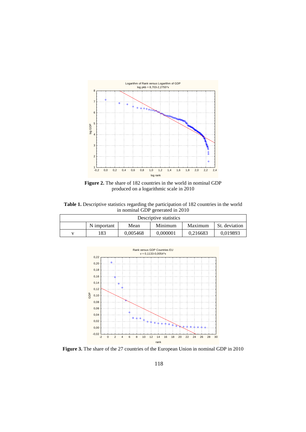

**Figure 2.** The share of 182 countries in the world in nominal GDP produced on a logarithmic scale in 2010

**Table 1.** Descriptive statistics regarding the participation of 182 countries in the world in nominal GDP generated in 2010

| Descriptive statistics |                                                            |          |          |          |          |  |
|------------------------|------------------------------------------------------------|----------|----------|----------|----------|--|
|                        | N important<br>St. deviation<br>Minimum<br>Mean<br>Maximum |          |          |          |          |  |
|                        | 183                                                        | 0,005468 | 0.000001 | 0.216683 | 0.019893 |  |



**Figure 3.** The share of the 27 countries of the European Union in nominal GDP in 2010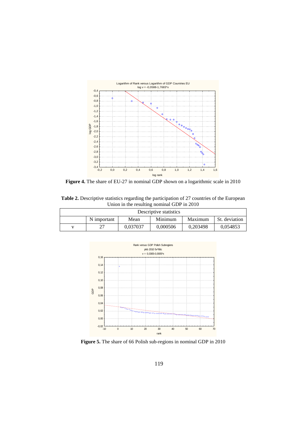

**Figure 4.** The share of EU-27 in nominal GDP shown on a logarithmic scale in 2010

**Table 2.** Descriptive statistics regarding the participation of 27 countries of the European Union in the resulting nominal GDP in 2010

| Descriptive statistics                                     |  |          |          |          |          |  |
|------------------------------------------------------------|--|----------|----------|----------|----------|--|
| N important<br>Minimum<br>Maximum<br>St. deviation<br>Mean |  |          |          |          |          |  |
|                                                            |  | 0.037037 | 0.000506 | 0.203498 | 0.054853 |  |



**Figure 5.** The share of 66 Polish sub-regions in nominal GDP in 2010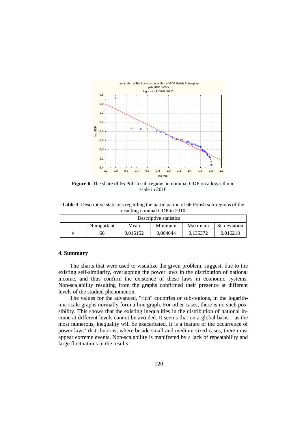

**Figure 6.** The share of 66 Polish sub-regions in nominal GDP on a logarithmic scale in 2010

**Table 3.** Descriptive statistics regarding the participation of 66 Polish sub-regions of the resulting nominal GDP in 2010

|                                                            | Descriptive statistics |          |          |          |          |  |  |
|------------------------------------------------------------|------------------------|----------|----------|----------|----------|--|--|
| N important<br>Minimum<br>St. deviation<br>Maximum<br>Mean |                        |          |          |          |          |  |  |
|                                                            | 66                     | 0.015152 | 0.004644 | 0.135372 | 0.016218 |  |  |

#### **4. Summary**

The charts that were used to visualize the given problem, suggest, due to the existing self-similarity, overlapping the power laws in the distribution of national income, and thus confirm the existence of these laws in economic systems. Non-scalability resulting from the graphs confirmed their presence at different levels of the studied phenomenon.

The values for the advanced, "rich" countries or sub-regions, in the logarithmic scale graphs normally form a line graph. For other cases, there is no such possibility. This shows that the existing inequalities in the distribution of national income at different levels cannot be avoided. It seems that on a global basis – as the most numerous, inequality will be exacerbated. It is a feature of the occurrence of power laws' distributions, where beside small and medium-sized cases, there must appear extreme events. Non-scalability is manifested by a lack of repeatability and large fluctuations in the results.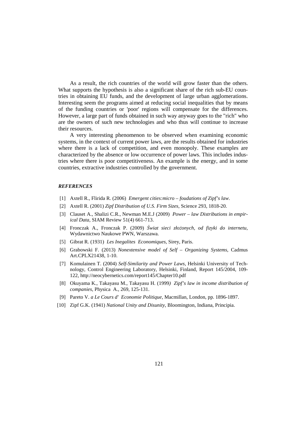As a result, the rich countries of the world will grow faster than the others. What supports the hypothesis is also a significant share of the rich sub-EU countries in obtaining EU funds, and the development of large urban agglomerations. Interesting seem the programs aimed at reducing social inequalities that by means of the funding countries or 'poor' regions will compensate for the differences. However, a large part of funds obtained in such way anyway goes to the "rich" who are the owners of such new technologies and who thus will continue to increase their resources.

A very interesting phenomenon to be observed when examining economic systems, in the context of current power laws, are the results obtained for industries where there is a lack of competition, and even monopoly. These examples are characterized by the absence or low occurrence of power laws. This includes industries where there is poor competitiveness. An example is the energy, and in some countries, extractive industries controlled by the government.

#### *REFERENCES*

- [1] Axtell R., Flirida R. (2006) *Emergent cities:micro foudations of Zipf's law*.
- [2] Axtell R. (2001) *Zipf Distribution of U.S. Firm Sizes*, Science 293, 1818-20.
- [3] Clauset A., Shalizi C.R., Newman M.E.J (2009) *Power law Distributions in empirical Data*, SIAM Review 51(4) 661-713.
- [4] Fronczak A., Fronczak P. (2009) *Świat sieci złożonych, od fizyki do internetu*, Wydawnictwo Naukowe PWN, Warszawa.
- [5] Gibrat R. (1931) *Les Inegalites Economiques*, Sirey, Paris.
- [6] Grabowski F. (2013) *Nonextensive model of Self Organizing Systems*, Cadmus Art.CPLX21438, 1-10.
- [7] Komulainen T. (2004) *Self-Similarity and Power Laws,* Helsinki University of Technology, Control Engineering Laboratory, Helsinki, Finland, Report 145/2004, 109- 122, http://neocybernetics.com/report145/Chapter10.pdf
- [8] Okuyama K., Takayasu M., Takayasu H. (1999*) Zipf's law in income distribution of companies*, Physica A., 269, 125-131.
- [9] Pareto V. *a Le Cours d' Economie Politique*, Macmillan, London, pp. 1896-1897.
- [10] Zipf G.K. (1941) *National Unity and Disunity*, Bloomington, Indiana, Principia.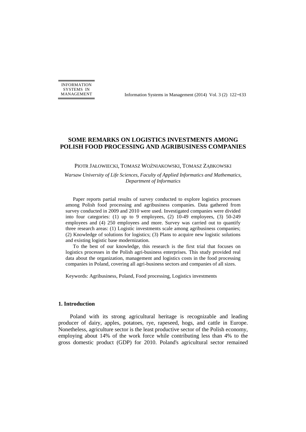INFORMATION SYSTEMS IN

MANAGEMENT Information Systems in Management (2014) Vol. 3 (2) 122−133

# **SOME REMARKS ON LOGISTICS INVESTMENTS AMONG POLISH FOOD PROCESSING AND AGRIBUSINESS COMPANIES**

PIOTR JAŁOWIECKI, TOMASZ WOŹNIAKOWSKI, TOMASZ ZĄBKOWSKI

*Warsaw University of Life Sciences, Faculty of Applied Informatics and Mathematics, Department of Informatics* 

Paper reports partial results of survey conducted to explore logistics processes among Polish food processing and agribusiness companies. Data gathered from survey conducted in 2009 and 2010 were used. Investigated companies were divided into four categories: (1) up to 9 employees, (2) 10-49 employees, (3) 50-249 employees and (4) 250 employees and more. Survey was carried out to quantify three research areas: (1) Logistic investments scale among agribusiness companies; (2) Knowledge of solutions for logistics; (3) Plans to acquire new logistic solutions and existing logistic base modernization.

To the best of our knowledge, this research is the first trial that focuses on logistics processes in the Polish agri-business enterprises. This study provided real data about the organization, management and logistics costs in the food processing companies in Poland, covering all agri-business sectors and companies of all sizes.

Keywords: Agribusiness, Poland, Food processing, Logistics investments

#### **1. Introduction**

Poland with its strong agricultural heritage is recognizable and leading producer of dairy, apples, potatoes, rye, rapeseed, hogs, and cattle in Europe. Nonetheless, agriculture sector is the least productive sector of the Polish economy, employing about 14% of the work force while contributing less than 4% to the gross domestic product (GDP) for 2010. Poland's agricultural sector remained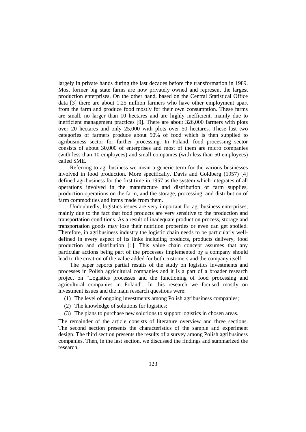largely in private hands during the last decades before the transformation in 1989. Most former big state farms are now privately owned and represent the largest production enterprises. On the other hand, based on the Central Statistical Office data [3] there are about 1.25 million farmers who have other employment apart from the farm and produce food mostly for their own consumption. These farms are small, no larger than 10 hectares and are highly inefficient, mainly due to inefficient management practices [9]. There are about 326,000 farmers with plots over 20 hectares and only 25,000 with plots over 50 hectares. These last two categories of farmers produce about 90% of food which is then supplied to agribusiness sector for further processing. In Poland, food processing sector consists of about 30,000 of enterprises and most of them are micro companies (with less than 10 employees) and small companies (with less than 50 employees) called SME.

Referring to agribusiness we mean a generic term for the various businesses involved in food production. More specifically, Davis and Goldberg (1957) [4] defined agribusiness for the first time in 1957 as the system which integrates of all operations involved in the manufacture and distribution of farm supplies, production operations on the farm, and the storage, processing, and distribution of farm commodities and items made from them.

Undoubtedly, logistics issues are very important for agribusiness enterprises, mainly due to the fact that food products are very sensitive to the production and transportation conditions. As a result of inadequate production process, storage and transportation goods may lose their nutrition properties or even can get spoiled. Therefore, in agribusiness industry the logistic chain needs to be particularly welldefined in every aspect of its links including products, products delivery, food production and distribution [1]. This value chain concept assumes that any particular actions being part of the processes implemented by a company should lead to the creation of the value added for both customers and the company itself.

The paper reports partial results of the study on logistics investments and processes in Polish agricultural companies and it is a part of a broader research project on "Logistics processes and the functioning of food processing and agricultural companies in Poland". In this research we focused mostly on investment issues and the main research questions were:

- (1) The level of ongoing investments among Polish agribusiness companies;
- (2) The knowledge of solutions for logistics;
- (3) The plans to purchase new solutions to support logistics in chosen areas.

The remainder of the article consists of literature overview and three sections. The second section presents the characteristics of the sample and experiment design. The third section presents the results of a survey among Polish agribusiness companies. Then, in the last section, we discussed the findings and summarized the research.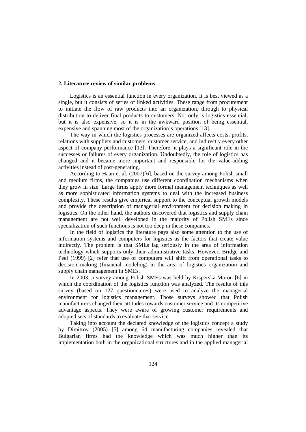#### **2. Literature review of similar problems**

Logistics is an essential function in every organization. It is best viewed as a single, but it consists of series of linked activities. These range from procurement to initiate the flow of raw products into an organization, through to physical distribution to deliver final products to customers. Not only is logistics essential, but it is also expensive, so it is in the awkward position of being essential, expensive and spanning most of the organization's operations [13].

The way in which the logistics processes are organized affects costs, profits, relations with suppliers and customers, customer service, and indirectly every other aspect of company performance [13]. Therefore, it plays a significant role in the successes or failures of every organization. Undoubtedly, the role of logistics has changed and it became more important and responsible for the value-adding activities instead of cost-generating.

According to Haan et al. (2007)[6], based on the survey among Polish small and medium firms, the companies use different coordination mechanisms when they grow in size. Large firms apply more formal management techniques as well as more sophisticated information systems to deal with the increased business complexity. These results give empirical support to the conceptual growth models and provide the description of managerial environment for decision making in logistics. On the other hand, the authors discovered that logistics and supply chain management are not well developed in the majority of Polish SMEs since specialization of such functions is not too deep in these companies.

In the field of logistics the literature pays also some attention to the use of information systems and computers for logistics as the factors that create value indirectly. The problem is that SMEs lag seriously in the area of information technology which supports only their administrative tasks. However, Bridge and Peel (1999) [2] refer that use of computers will shift from operational tasks to decision making (financial modeling) in the area of logistics organization and supply chain management in SMEs.

In 2003, a survey among Polish SMEs was held by Kisperska-Moron [6] in which the coordination of the logistics function was analyzed. The results of this survey (based on 127 questionnaires) were used to analyze the managerial environment for logistics management. Those surveys showed that Polish manufacturers changed their attitudes towards customer service and its competitive advantage aspects. They were aware of growing customer requirements and adopted sets of standards to evaluate that service.

Taking into account the declared knowledge of the logistics concept a study by Dimitrov (2005) [5] among 64 manufacturing companies revealed that Bulgarian firms had the knowledge which was much higher than its implementation both in the organizational structures and in the applied managerial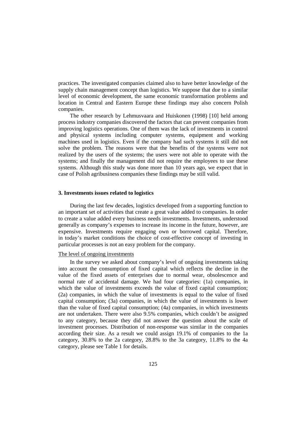practices. The investigated companies claimed also to have better knowledge of the supply chain management concept than logistics. We suppose that due to a similar level of economic development, the same economic transformation problems and location in Central and Eastern Europe these findings may also concern Polish companies.

The other research by Lehmusvaara and Huiskonen (1998) [10] held among process industry companies discovered the factors that can prevent companies from improving logistics operations. One of them was the lack of investments in control and physical systems including computer systems, equipment and working machines used in logistics. Even if the company had such systems it still did not solve the problem. The reasons were that the benefits of the systems were not realized by the users of the systems; the users were not able to operate with the systems; and finally the management did not require the employees to use these systems. Although this study was done more than 10 years ago, we expect that in case of Polish agribusiness companies these findings may be still valid.

# **3. Investments issues related to logistics**

During the last few decades, logistics developed from a supporting function to an important set of activities that create a great value added to companies. In order to create a value added every business needs investments. Investments, understood generally as company's expenses to increase its income in the future, however, are expensive. Investments require engaging own or borrowed capital. Therefore, in today's market conditions the choice of cost-effective concept of investing in particular processes is not an easy problem for the company.

#### The level of ongoing investments

In the survey we asked about company's level of ongoing investments taking into account the consumption of fixed capital which reflects the decline in the value of the fixed assets of enterprises due to normal wear, obsolescence and normal rate of accidental damage. We had four categories: (1a) companies, in which the value of investments exceeds the value of fixed capital consumption; (2a) companies, in which the value of investments is equal to the value of fixed capital consumption; (3a) companies, in which the value of investments is lower than the value of fixed capital consumption; (4a) companies, in which investments are not undertaken. There were also 9.5% companies, which couldn't be assigned to any category, because they did not answer the question about the scale of investment processes. Distribution of non-response was similar in the companies according their size. As a result we could assign 19.1% of companies to the 1a category, 30.8% to the 2a category, 28.8% to the 3a category, 11.8% to the 4a category, please see Table 1 for details.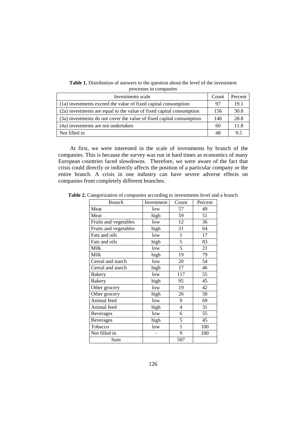**Table 1.** Distribution of answers to the question about the level of the investment processes in companies

| Investments scale                                                    | Count | Percent |
|----------------------------------------------------------------------|-------|---------|
| (1a) investments exceed the value of fixed capital consumption       | 97    | 19.1    |
| (2a) investments are equal to the value of fixed capital consumption | 156   | 30.8    |
| (3a) investments do not cover the value of fixed capital consumption | 146   | 28.8    |
| (4a) investments are not undertaken                                  | 60    | 11.8    |
| Not filled in                                                        | 48    | 9.5     |

At first, we were interested in the scale of investments by branch of the companies. This is because the survey was run in hard times as economics of many European countries faced slowdowns. Therefore, we were aware of the fact that crisis could directly or indirectly affects the position of a particular company or the entire branch. A crisis in one industry can have severe adverse effects on companies from completely different branches.

| <b>Branch</b>         | Investment | Count        | Percent |
|-----------------------|------------|--------------|---------|
| Meat                  | low        | 57           | 49      |
| Meat                  | high       | 59           | 51      |
| Fruits and vegetables | low        | 12           | 36      |
| Fruits and vegetables | high       | 21           | 64      |
| Fats and oils         | low        | 1            | 17      |
| Fats and oils         | high       | 5            | 83      |
| Milk                  | low        | 5            | 21      |
| Milk                  | high       | 19           | 79      |
| Cereal and starch     | low        | 20           | 54      |
| Cereal and starch     | high       | 17           | 46      |
| <b>Bakery</b>         | low        | 117          | 55      |
| <b>Bakery</b>         | high       | 95           | 45      |
| Other grocery         | low        | 19           | 42      |
| Other grocery         | high       | 26           | 58      |
| Animal feed           | low        | 9            | 69      |
| Animal feed           | high       | 4            | 31      |
| <b>Beverages</b>      | low        | 6            | 55      |
| <b>Beverages</b>      | high       | 5            | 45      |
| Tobacco               | low        | $\mathbf{1}$ | 100     |
| Not filled in         |            | 9            | 100     |
| Sum                   |            | 507          |         |

**Table 2.** Categorization of companies according to investments level and a branch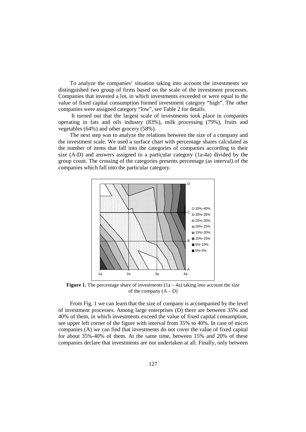To analyze the companies' situation taking into account the investments we distinguished two group of firms based on the scale of the investment processes. Companies that invested a lot, in which investments exceeded or were equal to the value of fixed capital consumption formed investment category "high". The other companies were assigned category "low", see Table 2 for details.

 It turned out that the largest scale of investments took place in companies operating in fats and oils industry (83%), milk processing (79%), fruits and vegetables (64%) and other grocery (58%).

The next step was to analyze the relations between the size of a company and the investment scale. We used a surface chart with percentage shares calculated as the number of items that fall into the categories of companies according to their size (A-D) and answers assigned to a particular category (1a-4a) divided by the group count. The crossing of the categories presents percentage (as interval) of the companies which fall into the particular category.



**Figure 1.** The percentage share of investments  $(1a - 4a)$  taking into account the size of the company  $(A - D)$ 

From Fig. 1 we can learn that the size of company is accompanied by the level of investment processes. Among large enterprises (D) there are between 35% and 40% of them, in which investments exceed the value of fixed capital consumption, see upper left corner of the figure with interval from 35% to 40%. In case of micro companies (A) we can find that investments do not cover the value of fixed capital for about 35%-40% of them. At the same time, between 15% and 20% of these companies declare that investments are not undertaken at all. Finally, only between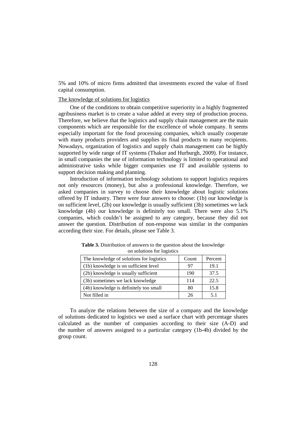5% and 10% of micro firms admitted that investments exceed the value of fixed capital consumption.

#### The knowledge of solutions for logistics

One of the conditions to obtain competitive superiority in a highly fragmented agribusiness market is to create a value added at every step of production process. Therefore, we believe that the logistics and supply chain management are the main components which are responsible for the excellence of whole company. It seems especially important for the food processing companies, which usually cooperate with many products providers and supplies its final products to many recipients. Nowadays, organization of logistics and supply chain management can be highly supported by wide range of IT systems (Thakur and Hurburgh, 2009). For instance, in small companies the use of information technology is limited to operational and administrative tasks while bigger companies use IT and available systems to support decision making and planning.

Introduction of information technology solutions to support logistics requires not only resources (money), but also a professional knowledge. Therefore, we asked companies in survey to choose their knowledge about logistic solutions offered by IT industry. There were four answers to choose: (1b) our knowledge is on sufficient level, (2b) our knowledge is usually sufficient (3b) sometimes we lack knowledge (4b) our knowledge is definitely too small. There were also 5.1% companies, which couldn't be assigned to any category, because they did not answer the question. Distribution of non-response was similar in the companies according their size. For details, please see Table 3.

| The knowledge of solutions for logistics | Count | Percent |
|------------------------------------------|-------|---------|
| (1b) knowledge is on sufficient level    | 97    | 19.1    |
| (2b) knowledge is usually sufficient     | 190   | 37.5    |
| (3b) sometimes we lack knowledge         | 114   | 22.5    |
| (4b) knowledge is definitely too small   | 80    | 15.8    |
| Not filled in                            | 26    | 5.1     |

**Table 3.** Distribution of answers to the question about the knowledge on solutions for logistics

To analyze the relations between the size of a company and the knowledge of solutions dedicated to logistics we used a surface chart with percentage shares calculated as the number of companies according to their size (A-D) and the number of answers assigned to a particular category (1b-4b) divided by the group count.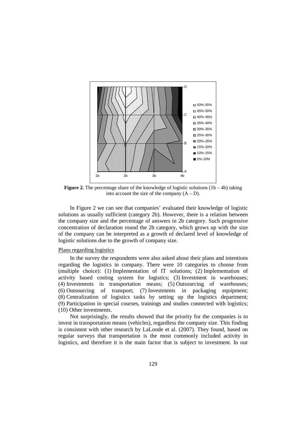

**Figure 2.** The percentage share of the knowledge of logistic solutions  $(1b - 4b)$  taking into account the size of the company  $(A - D)$ .

In Figure 2 we can see that companies' evaluated their knowledge of logistic solutions as usually sufficient (category 2b). However, there is a relation between the company size and the percentage of answers in 2b category. Such progressive concentration of declaration round the 2b category, which grows up with the size of the company can be interpreted as a growth of declared level of knowledge of logistic solutions due to the growth of company size.

#### Plans regarding logistics

In the survey the respondents were also asked about their plans and intentions regarding the logistics in company. There were 10 categories to choose from (multiple choice): (1) Implementation of IT solutions; (2) Implementation of activity based costing system for logistics; (3) Investment in warehouses; (4) Investments in transportation means; (5) Outsourcing of warehouses; (6) Outsourcing of transport; (7) Investments in packaging equipment; (8) Centralization of logistics tasks by setting up the logistics department; (9) Participation in special courses, trainings and studies connected with logistics; (10) Other investments.

Not surprisingly, the results showed that the priority for the companies is to invest in transportation means (vehicles), regardless the company size. This finding is consistent with other research by LaLonde et al. (2007). They found, based on regular surveys that transportation is the most commonly included activity in logistics, and therefore it is the main factor that is subject to investment. In our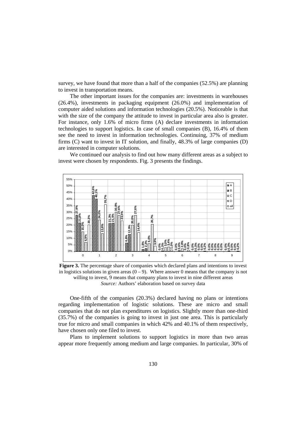survey, we have found that more than a half of the companies (52.5%) are planning to invest in transportation means.

The other important issues for the companies are: investments in warehouses (26.4%), investments in packaging equipment (26.0%) and implementation of computer aided solutions and information technologies (20.5%). Noticeable is that with the size of the company the attitude to invest in particular area also is greater. For instance, only 1.6% of micro firms (A) declare investments in information technologies to support logistics. In case of small companies (B), 16.4% of them see the need to invest in information technologies. Continuing, 37% of medium firms (C) want to invest in IT solution, and finally, 48.3% of large companies (D) are interested in computer solutions.

We continued our analysis to find out how many different areas as a subject to invest were chosen by respondents. Fig. 3 presents the findings.



**Figure 3.** The percentage share of companies which declared plans and intentions to invest in logistics solutions in given areas  $(0 - 9)$ . Where answer 0 means that the company is not willing to invest, 9 means that company plans to invest in nine different areas *Source:* Authors' elaboration based on survey data

One-fifth of the companies (20.3%) declared having no plans or intentions regarding implementation of logistic solutions. These are micro and small companies that do not plan expenditures on logistics. Slightly more than one-third (35.7%) of the companies is going to invest in just one area. This is particularly true for micro and small companies in which 42% and 40.1% of them respectively, have chosen only one filed to invest.

Plans to implement solutions to support logistics in more than two areas appear more frequently among medium and large companies. In particular, 30% of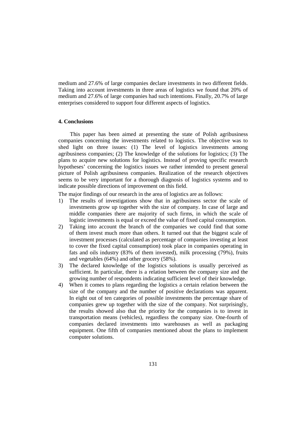medium and 27.6% of large companies declare investments in two different fields. Taking into account investments in three areas of logistics we found that 20% of medium and 27.6% of large companies had such intentions. Finally, 20.7% of large enterprises considered to support four different aspects of logistics.

#### **4. Conclusions**

This paper has been aimed at presenting the state of Polish agribusiness companies concerning the investments related to logistics. The objective was to shed light on three issues: (1) The level of logistics investments among agribusiness companies; (2) The knowledge of the solutions for logistics; (3) The plans to acquire new solutions for logistics. Instead of proving specific research hypotheses' concerning the logistics issues we rather intended to present general picture of Polish agribusiness companies. Realization of the research objectives seems to be very important for a thorough diagnosis of logistics systems and to indicate possible directions of improvement on this field.

The major findings of our research in the area of logistics are as follows:

- 1) The results of investigations show that in agribusiness sector the scale of investments grow up together with the size of company. In case of large and middle companies there are majority of such firms, in which the scale of logistic investments is equal or exceed the value of fixed capital consumption.
- 2) Taking into account the branch of the companies we could find that some of them invest much more than others. It turned out that the biggest scale of investment processes (calculated as percentage of companies investing at least to cover the fixed capital consumption) took place in companies operating in fats and oils industry (83% of them invested), milk processing (79%), fruits and vegetables (64%) and other grocery (58%).
- 3) The declared knowledge of the logistics solutions is usually perceived as sufficient. In particular, there is a relation between the company size and the growing number of respondents indicating sufficient level of their knowledge.
- 4) When it comes to plans regarding the logistics a certain relation between the size of the company and the number of positive declarations was apparent. In eight out of ten categories of possible investments the percentage share of companies grew up together with the size of the company. Not surprisingly, the results showed also that the priority for the companies is to invest in transportation means (vehicles), regardless the company size. One-fourth of companies declared investments into warehouses as well as packaging equipment. One fifth of companies mentioned about the plans to implement computer solutions.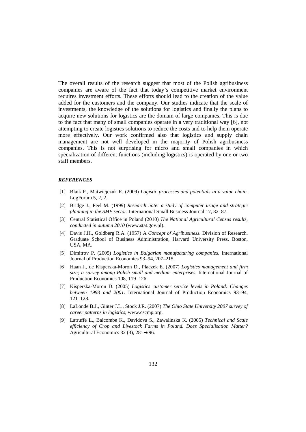The overall results of the research suggest that most of the Polish agribusiness companies are aware of the fact that today's competitive market environment requires investment efforts. These efforts should lead to the creation of the value added for the customers and the company. Our studies indicate that the scale of investments, the knowledge of the solutions for logistics and finally the plans to acquire new solutions for logistics are the domain of large companies. This is due to the fact that many of small companies operate in a very traditional way [6], not attempting to create logistics solutions to reduce the costs and to help them operate more effectively. Our work confirmed also that logistics and supply chain management are not well developed in the majority of Polish agribusiness companies. This is not surprising for micro and small companies in which specialization of different functions (including logistics) is operated by one or two staff members.

#### *REFERENCES*

- [1] Blaik P., Matwiejczuk R. (2009) *Logistic processes and potentials in a value chain.* LogForum 5, 2, 2.
- [2] Bridge J., Peel M. (1999) *Research note: a study of computer usage and strategic planning in the SME sector*. International Small Business Journal 17, 82–87.
- [3] Central Statistical Office in Poland (2010) *The National Agricultural Census results, conducted in autumn 2010* (www.stat.gov.pl).
- [4] Davis J.H., Goldberg R.A. (1957) A *Concept of Agribusiness*. Division of Research. Graduate School of Business Administration, Harvard University Press, Boston, USA, MA.
- [5] Dimitrov P. (2005) *Logistics in Bulgarian manufacturing companies*. International Journal of Production Economics 93–94, 207–215.
- [6] Haan J., de Kisperska-Moron D., Placzek E. (2007) *Logistics management and firm size; a survey among Polish small and medium enterprises*. International Journal of Production Economics 108, 119–126.
- [7] Kisperska-Moron D. (2005) *Logistics customer service levels in Poland: Changes between 1993 and 2001*. International Journal of Production Economics 93–94, 121–128.
- [8] LaLonde B.J., Ginter J.L., Stock J.R. (2007) *The Ohio State University 2007 survey of career patterns in logistics*, www.cscmp.org.
- [9] Latruffe L., Balcombe K., Davidova S., Zawalinska K. (2005) *Technical and Scale efficiency of Crop and Livestock Farms in Poland. Does Specialisation Matter?*  Agricultural Economics 32 (3), 281−296.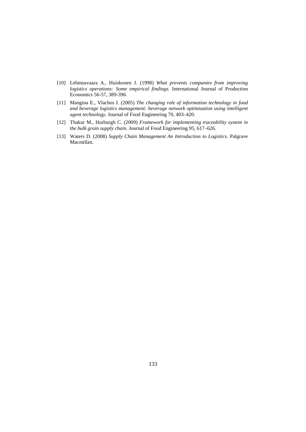- [10] Lehmusvaara A., Huiskonen J. (1998) *What prevents companies from improving logistics operations: Some empirical findings.* International Journal of Production Economics 56-57, 389-396.
- [11] Mangina E., Vlachos I. (2005) *The changing role of information technology in food and beverage logistics management: beverage network optimization using intelligent agent technology*. Journal of Food Engineering 70, 403–420.
- [12] Thakur M., Hurburgh C. (2009) *Framework for implementing traceability system in the bulk grain supply chain*. Journal of Food Engineering 95, 617–626.
- [13] Waters D. (2008) *Supply Chain Management An Introduction to Logistics*. Palgrave Macmillan.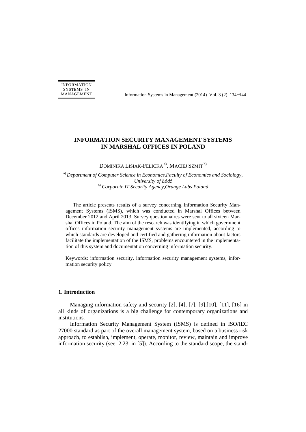INFORMATION SYSTEMS IN

MANAGEMENT Information Systems in Management (2014) Vol. 3 (2) 134–144

# **INFORMATION SECURITY MANAGEMENT SYSTEMS IN MARSHAL OFFICES IN POLAND**

DOMINIKA LISIAK-FELICKA<sup>a)</sup>, MACIEJ SZMIT<sup>b)</sup>

a) *Department of Computer Science in Economics,Faculty of Economics and Sociology, University of Łódź* b) *Corporate IT Security Agency,Orange Labs Poland* 

The article presents results of a survey concerning Information Security Management Systems (ISMS), which was conducted in Marshal Offices between December 2012 and April 2013. Survey questionnaires were sent to all sixteen Marshal Offices in Poland. The aim of the research was identifying in which government offices information security management systems are implemented, according to which standards are developed and certified and gathering information about factors facilitate the implementation of the ISMS, problems encountered in the implementation of this system and documentation concerning information security.

Keywords: information security, information security management systems, information security policy

#### **1. Introduction**

Managing information safety and security [2], [4], [7], [9],[10], [11], [16] in all kinds of organizations is a big challenge for contemporary organizations and institutions.

Information Security Management System (ISMS) is defined in ISO/IEC 27000 standard as part of the overall management system, based on a business risk approach, to establish, implement, operate, monitor, review, maintain and improve information security (see: 2.23. in [5]). According to the standard scope, the stand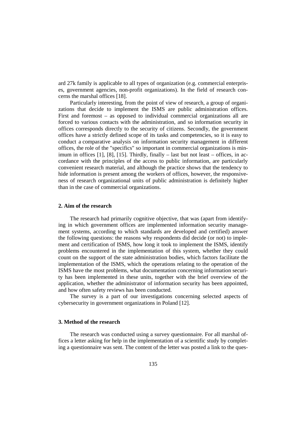ard 27k family is applicable to all types of organization (e.g. commercial enterprises, government agencies, non-profit organizations). In the field of research concerns the marshal offices [18].

Particularly interesting, from the point of view of research, a group of organizations that decide to implement the ISMS are public administration offices. First and foremost – as opposed to individual commercial organizations all are forced to various contacts with the administration, and so information security in offices corresponds directly to the security of citizens. Secondly, the government offices have a strictly defined scope of its tasks and competencies, so it is easy to conduct a comparative analysis on information security management in different offices, the role of the "specifics" so important in commercial organizations is minimum in offices  $[1]$ ,  $[8]$ ,  $[15]$ . Thirdly, finally – last but not least – offices, in accordance with the principles of the access to public information, are particularly convenient research material, and although the practice shows that the tendency to hide information is present among the workers of offices, however, the responsiveness of research organizational units of public administration is definitely higher than in the case of commercial organizations.

#### **2. Aim of the research**

The research had primarily cognitive objective, that was (apart from identifying in which government offices are implemented information security management systems, according to which standards are developed and certified) answer the following questions: the reasons why respondents did decide (or not) to implement and certification of ISMS, how long it took to implement the ISMS, identify problems encountered in the implementation of this system, whether they could count on the support of the state administration bodies, which factors facilitate the implementation of the ISMS, which the operations relating to the operation of the ISMS have the most problems, what documentation concerning information security has been implemented in these units, together with the brief overview of the application, whether the administrator of information security has been appointed, and how often safety reviews has been conducted.

The survey is a part of our investigations concerning selected aspects of cybersecurity in government organizations in Poland [12].

#### **3. Method of the research**

The research was conducted using a survey questionnaire. For all marshal offices a letter asking for help in the implementation of a scientific study by completing a questionnaire was sent. The content of the letter was posted a link to the ques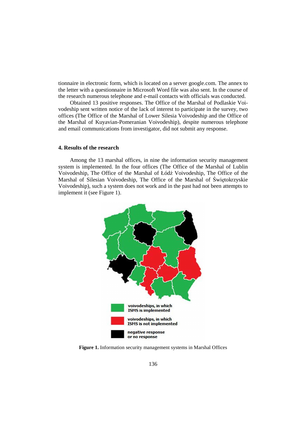tionnaire in electronic form, which is located on a server google.com. The annex to the letter with a questionnaire in Microsoft Word file was also sent. In the course of the research numerous telephone and e-mail contacts with officials was conducted.

Obtained 13 positive responses. The Office of the Marshal of Podlaskie Voivodeship sent written notice of the lack of interest to participate in the survey, two offices (The Office of the Marshal of Lower Silesia Voivodeship and the Office of the Marshal of Kuyavian-Pomeranian Voivodeship), despite numerous telephone and email communications from investigator, did not submit any response.

#### **4. Results of the research**

Among the 13 marshal offices, in nine the information security management system is implemented. In the four offices (The Office of the Marshal of Lublin Voivodeship, The Office of the Marshal of Łódź Voivodeship, The Office of the Marshal of Silesian Voivodeship, The Office of the Marshal of Świętokrzyskie Voivodeship), such a system does not work and in the past had not been attempts to implement it (see Figure 1).



**Figure 1.** Information security management systems in Marshal Offices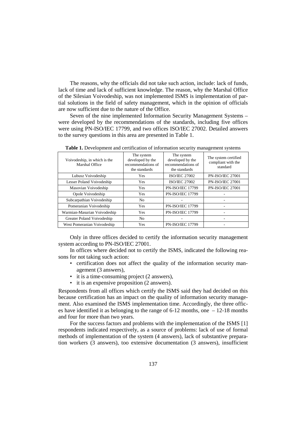The reasons, why the officials did not take such action, include: lack of funds, lack of time and lack of sufficient knowledge. The reason, why the Marshal Office of the Silesian Voivodeship, was not implemented ISMS is implementation of partial solutions in the field of safety management, which in the opinion of officials are now sufficient due to the nature of the Office.

Seven of the nine implemented Information Security Management Systems – were developed by the recommendations of the standards, including five offices were using PN-ISO/IEC 17799, and two offices ISO/IEC 27002. Detailed answers to the survey questions in this area are presented in Table 1.

| Voivodeship, in which is the<br>Marshal Office | The system<br>developed by the<br>recommendations of<br>the standards | The system<br>developed by the<br>recommendations of<br>the standards | The system certified<br>compliant with the<br>standard |
|------------------------------------------------|-----------------------------------------------------------------------|-----------------------------------------------------------------------|--------------------------------------------------------|
| Lubusz Voivodeship                             | <b>Yes</b>                                                            | <b>ISO/IEC 27002</b>                                                  | <b>PN-ISO/IEC 27001</b>                                |
| Lesser Poland Voivodeship                      | <b>Yes</b>                                                            | <b>ISO/IEC 27002</b>                                                  | <b>PN-ISO/IEC 27001</b>                                |
| Masovian Voivodeship                           | <b>Yes</b>                                                            | <b>PN-ISO/IEC 17799</b>                                               | <b>PN-ISO/IEC 27001</b>                                |
| Opole Voivodeship                              | Yes                                                                   | <b>PN-ISO/IEC 17799</b>                                               |                                                        |
| Subcarpathian Voivodeship                      | N <sub>o</sub>                                                        |                                                                       |                                                        |
| Pomeranian Voivodeship                         | <b>Yes</b>                                                            | <b>PN-ISO/IEC 17799</b>                                               |                                                        |
| Warmian-Masurian Voivodeship                   | Yes                                                                   | <b>PN-ISO/IEC 17799</b>                                               |                                                        |
| Greater Poland Voivodeship                     | N <sub>o</sub>                                                        |                                                                       |                                                        |
| West Pomeranian Voivodeship                    | Yes                                                                   | <b>PN-ISO/IEC 17799</b>                                               |                                                        |

**Table 1.** Development and certification of information security management systems

Only in three offices decided to certify the information security management system according to PN-ISO/IEC 27001.

In offices where decided not to certify the ISMS, indicated the following reasons for not taking such action:

- certification does not affect the quality of the information security management (3 answers),
- it is a time-consuming project (2 answers),
- it is an expensive proposition (2 answers).

Respondents from all offices which certify the ISMS said they had decided on this because certification has an impact on the quality of information security management. Also examined the ISMS implementation time. Accordingly, the three offices have identified it as belonging to the range of 6-12 months, one – 12-18 months and four for more than two years.

For the success factors and problems with the implementation of the ISMS [1] respondents indicated respectively, as a source of problems: lack of use of formal methods of implementation of the system (4 answers), lack of substantive preparation workers (3 answers), too extensive documentation (3 answers), insufficient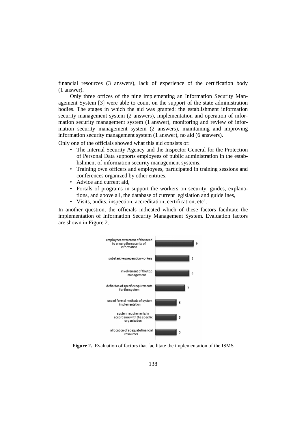financial resources (3 answers), lack of experience of the certification body (1 answer).

Only three offices of the nine implementing an Information Security Management System [3] were able to count on the support of the state administration bodies. The stages in which the aid was granted: the establishment information security management system (2 answers), implementation and operation of information security management system (1 answer), monitoring and review of information security management system (2 answers), maintaining and improving information security management system (1 answer), no aid (6 answers).

Only one of the officials showed what this aid consists of:

- The Internal Security Agency and the Inspector General for the Protection of Personal Data supports employees of public administration in the establishment of information security management systems,
- Training own officers and employees, participated in training sessions and conferences organized by other entities,
- Advice and current aid,
- Portals of programs in support the workers on security, guides, explanations, and above all, the database of current legislation and guidelines,
- Visits, audits, inspection, accreditation, certification, etc'.

In another question, the officials indicated which of these factors facilitate the implementation of Information Security Management System. Evaluation factors are shown in Figure 2.



**Figure 2.** Evaluation of factors that facilitate the implementation of the ISMS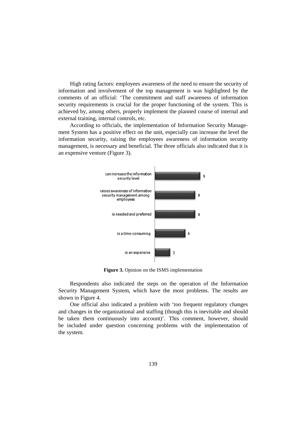High rating factors: employees awareness of the need to ensure the security of information and involvement of the top management is was highlighted by the comments of an official: 'The commitment and staff awareness of information security requirements is crucial for the proper functioning of the system. This is achieved by, among others, properly implement the planned course of internal and external training, internal controls, etc.

According to officials, the implementation of Information Security Management System has a positive effect on the unit, especially can increase the level the information security, raising the employees awareness of information security management, is necessary and beneficial. The three officials also indicated that it is an expensive venture (Figure 3).



**Figure 3.** Opinion on the ISMS implementation

Respondents also indicated the steps on the operation of the Information Security Management System, which have the most problems. The results are shown in Figure 4.

One official also indicated a problem with 'too frequent regulatory changes and changes in the organizational and staffing (though this is inevitable and should be taken them continuously into account)'. This comment, however, should be included under question concerning problems with the implementation of the system.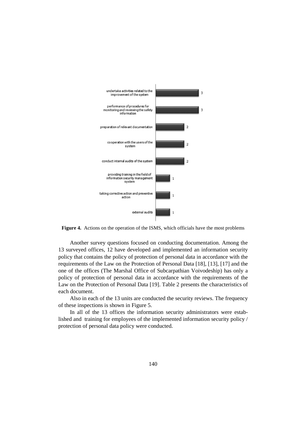

**Figure 4.** Actions on the operation of the ISMS, which officials have the most problems

Another survey questions focused on conducting documentation. Among the 13 surveyed offices, 12 have developed and implemented an information security policy that contains the policy of protection of personal data in accordance with the requirements of the Law on the Protection of Personal Data [18], [13], [17] and the one of the offices (The Marshal Office of Subcarpathian Voivodeship) has only a policy of protection of personal data in accordance with the requirements of the Law on the Protection of Personal Data [19]. Table 2 presents the characteristics of each document.

Also in each of the 13 units are conducted the security reviews. The frequency of these inspections is shown in Figure 5.

In all of the 13 offices the information security administrators were established and training for employees of the implemented information security policy / protection of personal data policy were conducted.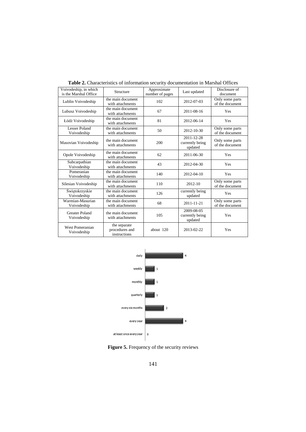| Voivodeship, in which<br>is the Marshal Office | Structure                                      | Approximate<br>number of pages | Last updated                             | Disclosure of<br>document          |
|------------------------------------------------|------------------------------------------------|--------------------------------|------------------------------------------|------------------------------------|
| Lublin Voivodeship                             | the main document<br>with attachments          | 102                            | 2012-07-03                               | Only some parts<br>of the document |
| Lubusz Voivodeship                             | the main document<br>with attachments          | 67                             | 2011-08-16                               | Yes                                |
| Łódź Voivodeship                               | the main document<br>with attachments          | 81                             | 2012-06-14                               | Yes                                |
| Lesser Poland<br>Voivodeship                   | the main document<br>with attachments          | 50                             | $2012 - 10 - 30$                         | Only some parts<br>of the document |
| Masovian Voivodeship                           | the main document<br>with attachments          | 200                            | 2011-12-28<br>currently being<br>updated | Only some parts<br>of the document |
| Opole Voivodeship                              | the main document<br>with attachments          | 62                             | 2011-06-30                               | Yes                                |
| Subcarpathian<br>Voivodeship                   | the main document<br>with attachments          | 43                             | 2012-04-30                               | Yes                                |
| Pomeranian<br>Voivodeship                      | the main document<br>with attachments          | 140                            | 2012-04-10                               | Yes                                |
| Silesian Voivodeship                           | the main document<br>with attachments          | 110                            | 2012-10                                  | Only some parts<br>of the document |
| Świętokrzyskie<br>Voivodeship                  | the main document<br>with attachments          | 126                            | currently being<br>updated               | Yes                                |
| Warmian-Masurian<br>Voivodeship                | the main document<br>with attachments          | 68                             | $2011 - 11 - 21$                         | Only some parts<br>of the document |
| <b>Greater Poland</b><br>Voivodeship           | the main document<br>with attachments          | 105                            | 2009-08-05<br>currently being<br>updated | Yes                                |
| West Pomeranian<br>Voivodeship                 | the separate<br>procedures and<br>instructions | about 120                      | 2013-02-22                               | Yes                                |

**Table 2.** Characteristics of information security documentation in Marshal Offices



Figure 5. Frequency of the security reviews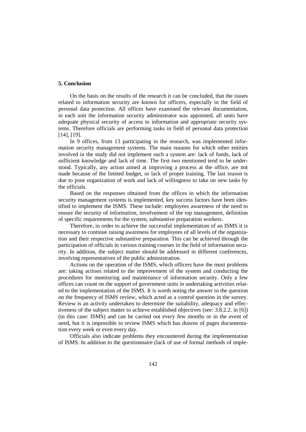#### **5. Conclusion**

On the basis on the results of the research it can be concluded, that the issues related to information security are known for officers, especially in the field of personal data protection. All offices have examined the relevant documentation, in each unit the information security administrator was appointed, all units have adequate physical security of access to information and appropriate security systems. Therefore officials are performing tasks in field of personal data protection [14], [19].

In 9 offices, from 13 participating in the research, was implemented information security management systems. The main reasons for which other entities involved in the study did not implement such a system are: lack of funds, lack of sufficient knowledge and lack of time. The first two mentioned tend to be understood. Typically, any action aimed at improving a process at the office, are not made because of the limited budget, or lack of proper training. The last reason is due to poor organization of work and lack of willingness to take on new tasks by the officials.

Based on the responses obtained from the offices in which the information security management systems is implemented, key success factors have been identified to implement the ISMS. These include: employees awareness of the need to ensure the security of information, involvement of the top management, definition of specific requirements for the system, substantive preparation workers.

Therefore, in order to achieve the successful implementation of an ISMS it is necessary to continue raising awareness for employees of all levels of the organization and their respective substantive preparation. This can be achieved through the participation of officials in various training courses in the field of information security. In addition, the subject matter should be addressed in different conferences, involving representatives of the public administration.

Actions on the operation of the ISMS, which officers have the most problems are: taking actions related to the improvement of the system and conducting the procedures for monitoring and maintenance of information security. Only a few offices can count on the support of government units in undertaking activities related to the implementation of the ISMS. It is worth noting the answer to the question on the frequency of ISMS review, which acted as a control question in the survey. Review is an activity undertaken to determine the suitability, adequacy and effectiveness of the subject matter to achieve established objectives (see: 3.8.2.2. in [6]) (in this case: ISMS) and can be carried out every few months or in the event of need, but it is impossible to review ISMS which has dozens of pages documentation every week or even every day.

Officials also indicate problems they encountered during the implementation of ISMS. In addition to the questionnaire (lack of use of formal methods of imple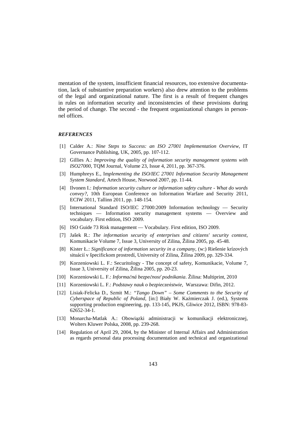mentation of the system, insufficient financial resources, too extensive documentation, lack of substantive preparation workers) also drew attention to the problems of the legal and organizational nature. The first is a result of frequent changes in rules on information security and inconsistencies of these provisions during the period of change. The second - the frequent organizational changes in personnel offices.

#### *REFERENCES*

- [1] Calder A.: *Nine Steps to Success: an ISO 27001 Implementation Overview*, IT Governance Publishing, UK, 2005, pp. 107-112.
- [2] Gillies A.: *Improving the quality of information security management systems with ISO27000*, TQM Journal, Volume 23, Issue 4, 2011, pp. 367-376.
- [3] Humphreys E., Im*plementing the ISO/IEC 27001 Information Security Management System Standard*, Artech House, Norwood 2007, pp. 11-44.
- [4] Ilvonen I.: *Information security culture or information safety culture What do words convey?*, 10th European Conference on Information Warfare and Security 2011, ECIW 2011, Tallinn 2011, pp. 148-154.
- [5] International Standard ISO/IEC 27000:2009 Information technology Security techniques — Information security management systems — Overview and vocabulary. First edition, ISO 2009.
- [6] ISO Guide 73 Risk management Vocabulary. First edition, ISO 2009.
- [7] Jašek R.: *The information security of enterprises and citizens' security context*, Komunikacie Volume 7, Issue 3, University of Zilina, Žilina 2005, pp. 45-48.
- [8] Kister Ł.: *Significance of information security in a company*, (w:) Riešenie krízových situácií v špecifickom prostredí, University of Zilina, Žilina 2009, pp. 329-334.
- [9] Korzeniowski L. F.: Securitology The concept of safety, Komunikacie, Volume 7, Issue 3, University of Zilina, Žilina 2005, pp. 20-23.
- [10] Korzeniowski L. F.: *Informačná bezpečnosť podnikania*. Žilina: Multiprint, 2010
- [11] Korzeniowski L. F.: *Podstawy nauk o bezpieczeństwie*, Warszawa: Difin, 2012.
- [12] Lisiak-Felicka D., Szmit M.: *"Tango Down" Some Comments to the Security of Cyberspace of Republic of Poland*, [in:] Biały W. Kaźmierczak J. (ed.), Systems supporting production engineering, pp. 133-145, PKJS, Gliwice 2012, ISBN: 978-83- 62652-34-1.
- [13] Monarcha-Matlak A.: Obowiązki administracji w komunikacji elektronicznej, Wolters Kluwer Polska, 2008, pp. 239-268.
- [14] Regulation of April 29, 2004, by the Minister of Internal Affairs and Administration as regards personal data processing documentation and technical and organizational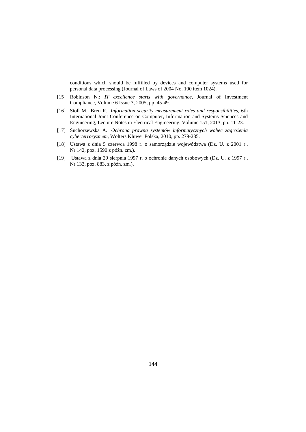conditions which should be fulfilled by devices and computer systems used for personal data processing (Journal of Laws of 2004 No. 100 item 1024).

- [15] Robinson N.: *IT excellence starts with governance*, Journal of Investment Compliance, Volume 6 Issue 3, 2005, pp. 45-49.
- [16] Stoll M., Breu R.: *Information security measurement roles and responsibilities*, 6th International Joint Conference on Computer, Information and Systems Sciences and Engineering, Lecture Notes in Electrical Engineering, Volume 151, 2013, pp. 11-23.
- [17] Suchorzewska A.: *Ochrona prawna systemów informatycznych wobec zagrożenia cyberterroryzmem*, Wolters Kluwer Polska, 2010, pp. 279-285.
- [18] Ustawa z dnia 5 czerwca 1998 r. o samorządzie województwa (Dz. U. z 2001 r., Nr 142, poz. 1590 z późn. zm.).
- [19] Ustawa z dnia 29 sierpnia 1997 r. o ochronie danych osobowych (Dz. U. z 1997 r., Nr 133, poz. 883, z późn. zm.).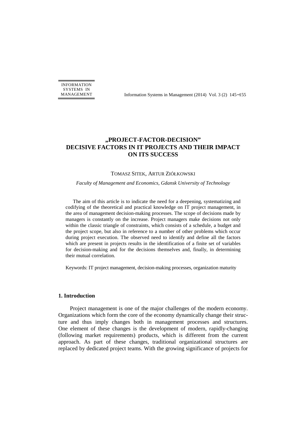INFORMATION SYSTEMS IN

MANAGEMENT Information Systems in Management (2014) Vol. 3 (2) 145−155

# **"PROJECT-FACTOR-DECISION" DECISIVE FACTORS IN IT PROJECTS AND THEIR IMPACT ON ITS SUCCESS**

#### TOMASZ SITEK, ARTUR ZIÓŁKOWSKI

#### *Faculty of Management and Economics, Gdansk University of Technology*

The aim of this article is to indicate the need for a deepening, systematizing and codifying of the theoretical and practical knowledge on IT project management, in the area of management decision-making processes. The scope of decisions made by managers is constantly on the increase. Project managers make decisions not only within the classic triangle of constraints, which consists of a schedule, a budget and the project scope, but also in reference to a number of other problems which occur during project execution. The observed need to identify and define all the factors which are present in projects results in the identification of a finite set of variables for decision-making and for the decisions themselves and, finally, in determining their mutual correlation.

Keywords: IT project management, decision-making processes, organization maturity

# **1. Introduction**

Project management is one of the major challenges of the modern economy. Organizations which form the core of the economy dynamically change their structure and thus imply changes both in management processes and structures. One element of these changes is the development of modern, rapidly-changing (following market requirements) products, which is different from the current approach. As part of these changes, traditional organizational structures are replaced by dedicated project teams. With the growing significance of projects for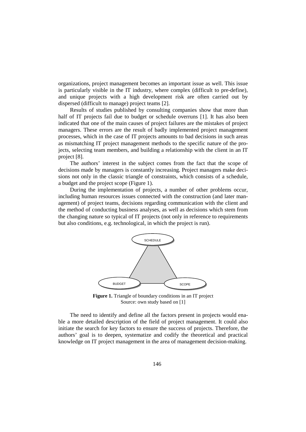organizations, project management becomes an important issue as well. This issue is particularly visible in the IT industry, where complex (difficult to pre-define), and unique projects with a high development risk are often carried out by dispersed (difficult to manage) project teams [2].

Results of studies published by consulting companies show that more than half of IT projects fail due to budget or schedule overruns [1]. It has also been indicated that one of the main causes of project failures are the mistakes of project managers. These errors are the result of badly implemented project management processes, which in the case of IT projects amounts to bad decisions in such areas as mismatching IT project management methods to the specific nature of the projects, selecting team members, and building a relationship with the client in an IT project [8].

The authors' interest in the subject comes from the fact that the scope of decisions made by managers is constantly increasing. Project managers make decisions not only in the classic triangle of constraints, which consists of a schedule, a budget and the project scope (Figure 1).

During the implementation of projects, a number of other problems occur, including human resources issues connected with the construction (and later management) of project teams, decisions regarding communication with the client and the method of conducting business analyses, as well as decisions which stem from the changing nature so typical of IT projects (not only in reference to requirements but also conditions, e.g. technological, in which the project is run).



**Figure 1.** Triangle of boundary conditions in an IT project Source: own study based on [1]

The need to identify and define all the factors present in projects would enable a more detailed description of the field of project management. It could also initiate the search for key factors to ensure the success of projects. Therefore, the authors' goal is to deepen, systematize and codify the theoretical and practical knowledge on IT project management in the area of management decision-making.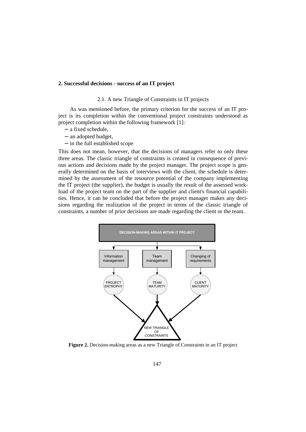#### **2. Successful decisions - success of an IT project**

# 2.1. A new Triangle of Constraints in IT projects

As was mentioned before, the primary criterion for the success of an IT project is its completion within the conventional project constraints understood as project completion within the following framework [1]:

- − a fixed schedule,
- − an adopted budget,
- − in the full established scope

This does not mean, however, that the decisions of managers refer to only these three areas. The classic triangle of constraints is created in consequence of previous actions and decisions made by the project manager. The project scope is generally determined on the basis of interviews with the client, the schedule is determined by the assessment of the resource potential of the company implementing the IT project (the supplier), the budget is usually the result of the assessed workload of the project team on the part of the supplier and client's financial capabilities. Hence, it can be concluded that before the project manager makes any decisions regarding the realization of the project in terms of the classic triangle of constraints, a number of prior decisions are made regarding the client or the team.



**Figure 2.** Decision-making areas as a new Triangle of Constraints in an IT project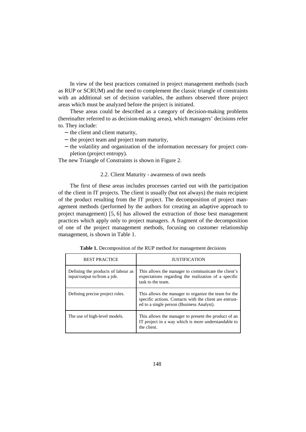In view of the best practices contained in project management methods (such as RUP or SCRUM) and the need to complement the classic triangle of constraints with an additional set of decision variables, the authors observed three project areas which must be analyzed before the project is initiated.

These areas could be described as a category of decision-making problems (hereinafter referred to as decision-making areas), which managers' decisions refer to. They include:

- − the client and client maturity,
- − the project team and project team maturity,
- − the volatility and organization of the information necessary for project completion (project entropy).

The new Triangle of Constraints is shown in Figure 2.

#### 2.2. Client Maturity - awareness of own needs

The first of these areas includes processes carried out with the participation of the client in IT projects. The client is usually (but not always) the main recipient of the product resulting from the IT project. The decomposition of project management methods (performed by the authors for creating an adaptive approach to project management) [5, 6] has allowed the extraction of those best management practices which apply only to project managers. A fragment of the decomposition of one of the project management methods, focusing on customer relationship management, is shown in Table 1.

| <b>BEST PRACTICE</b>                                              | <b>JUSTIFICATION</b>                                                                                                                                         |
|-------------------------------------------------------------------|--------------------------------------------------------------------------------------------------------------------------------------------------------------|
| Defining the products of labour as<br>input/output to/from a job. | This allows the manager to communicate the client's<br>expectations regarding the realization of a specific<br>task to the team.                             |
| Defining precise project roles.                                   | This allows the manager to organize the team for the<br>specific actions. Contacts with the client are entrust-<br>ed to a single person (Business Analyst). |
| The use of high-level models.                                     | This allows the manager to present the product of an<br>IT project in a way which is more understandable to<br>the client.                                   |

**Table 1.** Decomposition of the RUP method for management decisions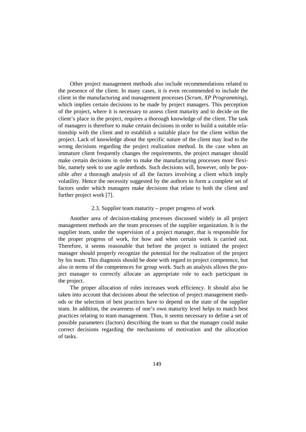Other project management methods also include recommendations related to the presence of the client. In many cases, it is even recommended to include the client in the manufacturing and management processes (*Scrum, XP Programming*), which implies certain decisions to be made by project managers. This perception of the project, where it is necessary to assess client maturity and to decide on the client's place in the project, requires a thorough knowledge of the client. The task of managers is therefore to make certain decisions in order to build a suitable relationship with the client and to establish a suitable place for the client within the project. Lack of knowledge about the specific nature of the client may lead to the wrong decisions regarding the project realization method. In the case when an immature client frequently changes the requirements, the project manager should make certain decisions in order to make the manufacturing processes more flexible, namely seek to use agile methods. Such decisions will, however, only be possible after a thorough analysis of all the factors involving a client which imply volatility. Hence the necessity suggested by the authors to form a complete set of factors under which managers make decisions that relate to both the client and further project work [7].

#### 2.3. Supplier team maturity – proper progress of work

Another area of decision-making processes discussed widely in all project management methods are the team processes of the supplier organization. It is the supplier team, under the supervision of a project manager, that is responsible for the proper progress of work, for how and when certain work is carried out. Therefore, it seems reasonable that before the project is initiated the project manager should properly recognize the potential for the realization of the project by his team. This diagnosis should be done with regard to project competence, but also in terms of the competences for group work. Such an analysis allows the project manager to correctly allocate an appropriate role to each participant in the project.

The proper allocation of roles increases work efficiency. It should also be taken into account that decisions about the selection of project management methods or the selection of best practices have to depend on the state of the supplier team. In addition, the awareness of one's own maturity level helps to match best practices relating to team management. Thus, it seems necessary to define a set of possible parameters (factors) describing the team so that the manager could make correct decisions regarding the mechanisms of motivation and the allocation of tasks.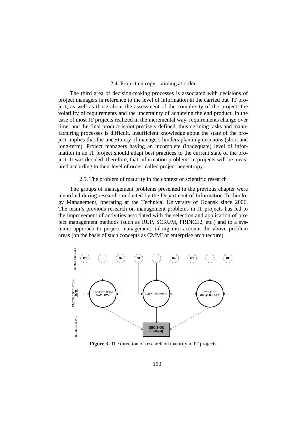#### 2.4. Project entropy – aiming at order

The third area of decision-making processes is associated with decisions of project managers in reference to the level of information in the carried out IT project, as well as those about the assessment of the complexity of the project, the volatility of requirements and the uncertainty of achieving the end product. In the case of most IT projects realized in the incremental way, requirements change over time, and the final product is not precisely defined, thus defining tasks and manufacturing processes is difficult. Insufficient knowledge about the state of the project implies that the uncertainty of managers hinders planning decisions (short and long-term). Project managers having an incomplete (inadequate) level of information in an IT project should adapt best practices to the current state of the project. It was decided, therefore, that information problems in projects will be measured according to their level of order, called project negentropy.

#### 2.5. The problem of maturity in the context of scientific research

The groups of management problems presented in the previous chapter were identified during research conducted by the Department of Information Technology Management, operating at the Technical University of Gdansk since 2006. The team's previous research on management problems in IT projects has led to the improvement of activities associated with the selection and application of project management methods (such as RUP, SCRUM, PRINCE2, etc.) and to a systemic approach to project management, taking into account the above problem areas (on the basis of such concepts as CMMI or enterprise architecture).



**Figure 3.** The direction of research on maturity in IT projects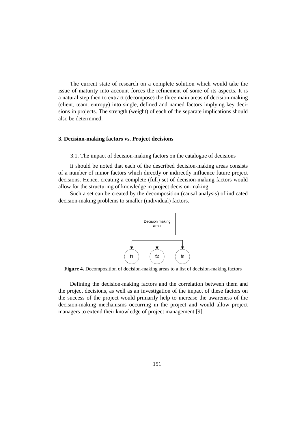The current state of research on a complete solution which would take the issue of maturity into account forces the refinement of some of its aspects. It is a natural step then to extract (decompose) the three main areas of decision-making (client, team, entropy) into single, defined and named factors implying key decisions in projects. The strength (weight) of each of the separate implications should also be determined.

# **3. Decision-making factors vs. Project decisions**

3.1. The impact of decision-making factors on the catalogue of decisions

It should be noted that each of the described decision-making areas consists of a number of minor factors which directly or indirectly influence future project decisions. Hence, creating a complete (full) set of decision-making factors would allow for the structuring of knowledge in project decision-making.

Such a set can be created by the decomposition (causal analysis) of indicated decision-making problems to smaller (individual) factors.



**Figure 4.** Decomposition of decision-making areas to a list of decision-making factors

Defining the decision-making factors and the correlation between them and the project decisions, as well as an investigation of the impact of these factors on the success of the project would primarily help to increase the awareness of the decision-making mechanisms occurring in the project and would allow project managers to extend their knowledge of project management [9].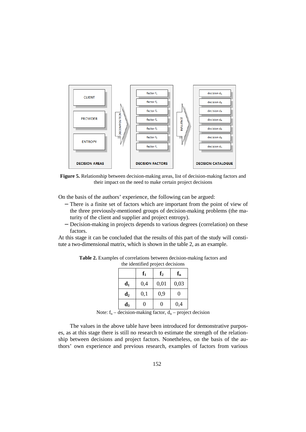

**Figure 5.** Relationship between decision-making areas, list of decision-making factors and their impact on the need to make certain project decisions

On the basis of the authors' experience, the following can be argued:

- − There is a finite set of factors which are important from the point of view of the three previously-mentioned groups of decision-making problems (the maturity of the client and supplier and project entropy).
- − Decision-making in projects depends to various degrees (correlation) on these factors.

At this stage it can be concluded that the results of this part of the study will constitute a two-dimensional matrix, which is shown in the table 2, as an example.

| and the property of the con- |       |                |       |  |  |
|------------------------------|-------|----------------|-------|--|--|
|                              | $f_1$ | f <sub>2</sub> | $f_n$ |  |  |
| $\mathbf{d}_1$               | 0,4   | 0,01           | 0,03  |  |  |
| $\mathbf{d}_2$               | 0,1   | 0,9            | 0     |  |  |
| $\mathbf{d}_3$               | N     | 0              | 0,4   |  |  |

**Table 2.** Examples of correlations between decision-making factors and the identified project decisions

Note:  $f_n$  – decision-making factor,  $d_n$  – project decision

The values in the above table have been introduced for demonstrative purposes, as at this stage there is still no research to estimate the strength of the relationship between decisions and project factors. Nonetheless, on the basis of the authors' own experience and previous research, examples of factors from various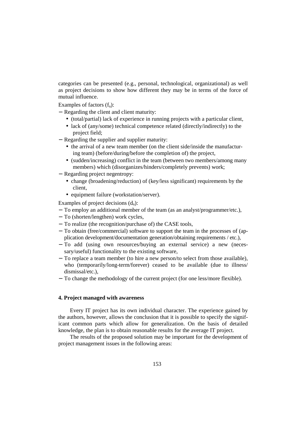categories can be presented (e.g., personal, technological, organizational) as well as project decisions to show how different they may be in terms of the force of mutual influence.

Examples of factors  $(f_n)$ :

- − Regarding the client and client maturity:
	- (total/partial) lack of experience in running projects with a particular client,
	- lack of (any/some) technical competence related (directly/indirectly) to the project field;
- − Regarding the supplier and supplier maturity:
	- the arrival of a new team member (on the client side/inside the manufacturing team) (before/during/before the completion of) the project,
	- (sudden/increasing) conflict in the team (between two members/among many members) which (disorganizes/hinders/completely prevents) work;
- − Regarding project negentropy:
	- change (broadening/reduction) of (key/less significant) requirements by the client,
	- equipment failure (workstation/server).

Examples of project decisions  $(d_n)$ :

- − To employ an additional member of the team (as an analyst/programmer/etc.),
- − To (shorten/lengthen) work cycles,
- − To realize (the recognition/purchase of) the CASE tools,
- − To obtain (free/commercial) software to support the team in the processes of (application development/documentation generation/obtaining requirements / etc.),
- − To add (using own resources/buying an external service) a new (necessary/useful) functionality to the existing software,
- − To replace a team member (to hire a new person/to select from those available), who (temporarily/long-term/forever) ceased to be available (due to illness/ dismissal/etc.),
- − To change the methodology of the current project (for one less/more flexible).

#### **4. Project managed with awareness**

Every IT project has its own individual character. The experience gained by the authors, however, allows the conclusion that it is possible to specify the significant common parts which allow for generalization. On the basis of detailed knowledge, the plan is to obtain reasonable results for the average IT project.

The results of the proposed solution may be important for the development of project management issues in the following areas: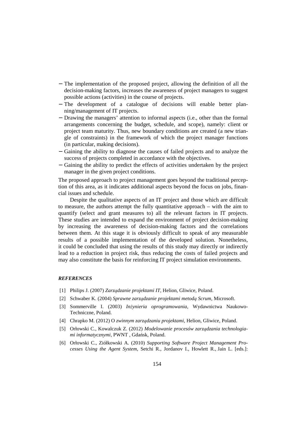- − The implementation of the proposed project, allowing the definition of all the decision-making factors, increases the awareness of project managers to suggest possible actions (activities) in the course of projects.
- − The development of a catalogue of decisions will enable better planning/management of IT projects.
- − Drawing the managers' attention to informal aspects (i.e., other than the formal arrangements concerning the budget, schedule, and scope), namely: client or project team maturity. Thus, new boundary conditions are created (a new triangle of constraints) in the framework of which the project manager functions (in particular, making decisions).
- − Gaining the ability to diagnose the causes of failed projects and to analyze the success of projects completed in accordance with the objectives.
- − Gaining the ability to predict the effects of activities undertaken by the project manager in the given project conditions.

The proposed approach to project management goes beyond the traditional perception of this area, as it indicates additional aspects beyond the focus on jobs, financial issues and schedule.

Despite the qualitative aspects of an IT project and those which are difficult to measure, the authors attempt the fully quantitative approach – with the aim to quantify (select and grant measures to) all the relevant factors in IT projects. These studies are intended to expand the environment of project decision-making by increasing the awareness of decision-making factors and the correlations between them. At this stage it is obviously difficult to speak of any measurable results of a possible implementation of the developed solution. Nonetheless, it could be concluded that using the results of this study may directly or indirectly lead to a reduction in project risk, thus reducing the costs of failed projects and may also constitute the basis for reinforcing IT project simulation environments.

#### *REFERENCES*

- [1] Philips J. (2007) *Zarządzanie projektami IT*, Helion, Gliwice, Poland.
- [2] Schwaber K. (2004) *Sprawne zarządzanie projektami metodą Scrum*, Microsoft.
- [3] Sommerville I. (2003) *Inżynieria oprogramowania*, Wydawnictwa Naukowo-Techniczne, Poland.
- [4] Chrapko M. (2012) O *zwinnym zarządzaniu projektami*, Helion, Gliwice, Poland.
- [5] Orłowski C., Kowalczuk Z. (2012) *Modelowanie procesów zarządzania technologiami informatycznymi*, PWNT , Gdańsk, Poland.
- [6] Orłowski C., Ziółkowski A. (2010) *Supporting Software Project Management Processes Using the Agent System*, Setchi R., Jordanov I., Howlett R., Jain L. [eds.]: